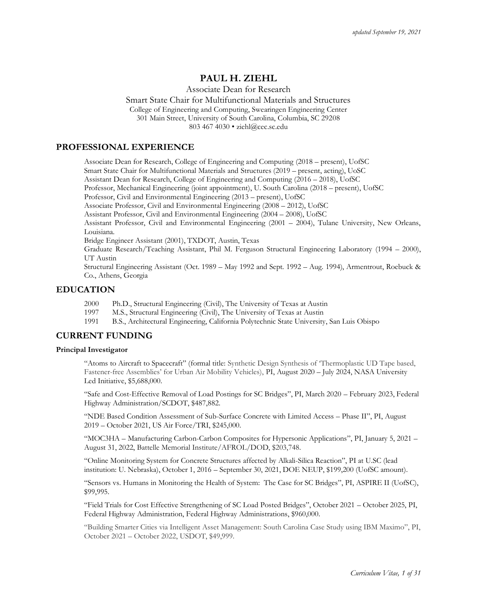# **PAUL H. ZIEHL**

Associate Dean for Research

Smart State Chair for Multifunctional Materials and Structures College of Engineering and Computing, Swearingen Engineering Center

301 Main Street, University of South Carolina, Columbia, SC 29208

803 467 4030 • ziehl@cec.sc.edu

## **PROFESSIONAL EXPERIENCE**

Associate Dean for Research, College of Engineering and Computing (2018 – present), UofSC Smart State Chair for Multifunctional Materials and Structures (2019 – present, acting), UoSC Assistant Dean for Research, College of Engineering and Computing (2016 – 2018), UofSC Professor, Mechanical Engineering (joint appointment), U. South Carolina (2018 – present), UofSC Professor, Civil and Environmental Engineering (2013 – present), UofSC Associate Professor, Civil and Environmental Engineering (2008 – 2012), UofSC Assistant Professor, Civil and Environmental Engineering (2004 – 2008), UofSC Assistant Professor, Civil and Environmental Engineering (2001 – 2004), Tulane University, New Orleans, Louisiana. Bridge Engineer Assistant (2001), TXDOT, Austin, Texas Graduate Research/Teaching Assistant, Phil M. Ferguson Structural Engineering Laboratory (1994 – 2000), UT Austin Structural Engineering Assistant (Oct. 1989 – May 1992 and Sept. 1992 – Aug. 1994), Armentrout, Roebuck & Co., Athens, Georgia

## **EDUCATION**

- 2000 Ph.D., Structural Engineering (Civil), The University of Texas at Austin
- 1997 M.S., Structural Engineering (Civil), The University of Texas at Austin
- 1991 B.S., Architectural Engineering, California Polytechnic State University, San Luis Obispo

### **CURRENT FUNDING**

#### **Principal Investigator**

"Atoms to Aircraft to Spacecraft" (formal title: Synthetic Design Synthesis of 'Thermoplastic UD Tape based, Fastener-free Assemblies' for Urban Air Mobility Vehicles), PI, August 2020 – July 2024, NASA University Led Initiative, \$5,688,000.

"Safe and Cost-Effective Removal of Load Postings for SC Bridges", PI, March 2020 – February 2023, Federal Highway Administration/SCDOT, \$487,882.

"NDE Based Condition Assessment of Sub-Surface Concrete with Limited Access – Phase II", PI, August 2019 – October 2021, US Air Force/TRI, \$245,000.

"MOC3HA – Manufacturing Carbon-Carbon Composites for Hypersonic Applications", PI, January 5, 2021 – August 31, 2022, Battelle Memorial Institute/AFROL/DOD, \$203,748.

"Online Monitoring System for Concrete Structures affected by Alkali-Silica Reaction", PI at U.SC (lead institution: U. Nebraska), October 1, 2016 – September 30, 2021, DOE NEUP, \$199,200 (UofSC amount).

"Sensors vs. Humans in Monitoring the Health of System: The Case for SC Bridges", PI, ASPIRE II (UofSC), \$99,995.

"Field Trials for Cost Effective Strengthening of SC Load Posted Bridges", October 2021 – October 2025, PI, Federal Highway Administration, Federal Highway Administrations, \$960,000.

"Building Smarter Cities via Intelligent Asset Management: South Carolina Case Study using IBM Maximo", PI, October 2021 – October 2022, USDOT, \$49,999.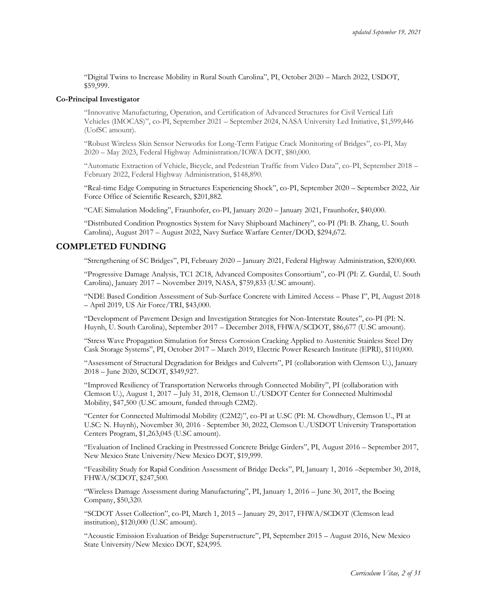"Digital Twins to Increase Mobility in Rural South Carolina", PI, October 2020 – March 2022, USDOT, \$59,999.

#### **Co-Principal Investigator**

"Innovative Manufacturing, Operation, and Certification of Advanced Structures for Civil Vertical Lift Vehicles (IMOCAS)", co-PI, September 2021 – September 2024, NASA University Led Initiative, \$1,599,446 (UofSC amount).

"Robust Wireless Skin Sensor Networks for Long-Term Fatigue Crack Monitoring of Bridges", co-PI, May 2020 – May 2023, Federal Highway Administration/IOWA DOT, \$80,000.

"Automatic Extraction of Vehicle, Bicycle, and Pedestrian Traffic from Video Data", co-PI, September 2018 – February 2022, Federal Highway Administration, \$148,890.

"Real-time Edge Computing in Structures Experiencing Shock", co-PI, September 2020 – September 2022, Air Force Office of Scientific Research, \$201,882.

"CAE Simulation Modeling", Fraunhofer, co-PI, January 2020 – January 2021, Fraunhofer, \$40,000.

"Distributed Condition Prognostics System for Navy Shipboard Machinery", co-PI (PI: B. Zhang, U. South Carolina), August 2017 – August 2022, Navy Surface Warfare Center/DOD, \$294,672.

### **COMPLETED FUNDING**

"Strengthening of SC Bridges", PI, February 2020 – January 2021, Federal Highway Administration, \$200,000.

"Progressive Damage Analysis, TC1 2C18, Advanced Composites Consortium", co-PI (PI: Z. Gurdal, U. South Carolina), January 2017 – November 2019, NASA, \$759,833 (U.SC amount).

"NDE Based Condition Assessment of Sub-Surface Concrete with Limited Access – Phase I", PI, August 2018 – April 2019, US Air Force/TRI, \$43,000.

"Development of Pavement Design and Investigation Strategies for Non-Interstate Routes", co-PI (PI: N. Huynh, U. South Carolina), September 2017 – December 2018, FHWA/SCDOT, \$86,677 (U.SC amount).

"Stress Wave Propagation Simulation for Stress Corrosion Cracking Applied to Austenitic Stainless Steel Dry Cask Storage Systems", PI, October 2017 – March 2019, Electric Power Research Institute (EPRI), \$110,000.

"Assessment of Structural Degradation for Bridges and Culverts", PI (collaboration with Clemson U.), January 2018 – June 2020, SCDOT, \$349,927.

"Improved Resiliency of Transportation Networks through Connected Mobility", PI (collaboration with Clemson U.), August 1, 2017 – July 31, 2018, Clemson U./USDOT Center for Connected Multimodal Mobility, \$47,500 (U.SC amount, funded through C2M2).

"Center for Connected Multimodal Mobility (C2M2)", co-PI at U.SC (PI: M. Chowdhury, Clemson U., PI at U.SC: N. Huynh), November 30, 2016 - September 30, 2022, Clemson U./USDOT University Transportation Centers Program, \$1,263,045 (U.SC amount).

"Evaluation of Inclined Cracking in Prestressed Concrete Bridge Girders", PI, August 2016 – September 2017, New Mexico State University/New Mexico DOT, \$19,999.

"Feasibility Study for Rapid Condition Assessment of Bridge Decks", PI, January 1, 2016 –September 30, 2018, FHWA/SCDOT, \$247,500.

"Wireless Damage Assessment during Manufacturing", PI, January 1, 2016 – June 30, 2017, the Boeing Company, \$50,320.

"SCDOT Asset Collection", co-PI, March 1, 2015 – January 29, 2017, FHWA/SCDOT (Clemson lead institution), \$120,000 (U.SC amount).

"Acoustic Emission Evaluation of Bridge Superstructure", PI, September 2015 – August 2016, New Mexico State University/New Mexico DOT, \$24,995.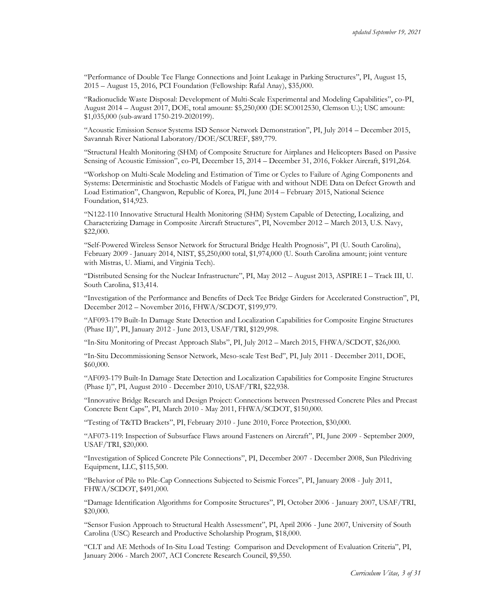"Performance of Double Tee Flange Connections and Joint Leakage in Parking Structures", PI, August 15, 2015 – August 15, 2016, PCI Foundation (Fellowship: Rafal Anay), \$35,000.

"Radionuclide Waste Disposal: Development of Multi-Scale Experimental and Modeling Capabilities", co-PI, August 2014 – August 2017, DOE, total amount: \$5,250,000 (DE SC0012530, Clemson U.); USC amount: \$1,035,000 (sub-award 1750-219-2020199).

"Acoustic Emission Sensor Systems ISD Sensor Network Demonstration", PI, July 2014 – December 2015, Savannah River National Laboratory/DOE/SCUREF, \$89,779.

"Structural Health Monitoring (SHM) of Composite Structure for Airplanes and Helicopters Based on Passive Sensing of Acoustic Emission", co-PI, December 15, 2014 – December 31, 2016, Fokker Aircraft, \$191,264.

"Workshop on Multi-Scale Modeling and Estimation of Time or Cycles to Failure of Aging Components and Systems: Deterministic and Stochastic Models of Fatigue with and without NDE Data on Defect Growth and Load Estimation", Changwon, Republic of Korea, PI, June 2014 – February 2015, National Science Foundation, \$14,923.

"N122-110 Innovative Structural Health Monitoring (SHM) System Capable of Detecting, Localizing, and Characterizing Damage in Composite Aircraft Structures", PI, November 2012 – March 2013, U.S. Navy, \$22,000.

"Self-Powered Wireless Sensor Network for Structural Bridge Health Prognosis", PI (U. South Carolina), February 2009 - January 2014, NIST, \$5,250,000 total, \$1,974,000 (U. South Carolina amount; joint venture with Mistras, U. Miami, and Virginia Tech).

"Distributed Sensing for the Nuclear Infrastructure", PI, May 2012 – August 2013, ASPIRE I – Track III, U. South Carolina, \$13,414.

"Investigation of the Performance and Benefits of Deck Tee Bridge Girders for Accelerated Construction", PI, December 2012 – November 2016, FHWA/SCDOT, \$199,979.

"AF093-179 Built-In Damage State Detection and Localization Capabilities for Composite Engine Structures (Phase II)", PI, January 2012 - June 2013, USAF/TRI, \$129,998.

"In-Situ Monitoring of Precast Approach Slabs", PI, July 2012 – March 2015, FHWA/SCDOT, \$26,000.

"In-Situ Decommissioning Sensor Network, Meso-scale Test Bed", PI, July 2011 - December 2011, DOE, \$60,000.

"AF093-179 Built-In Damage State Detection and Localization Capabilities for Composite Engine Structures (Phase I)", PI, August 2010 - December 2010, USAF/TRI, \$22,938.

"Innovative Bridge Research and Design Project: Connections between Prestressed Concrete Piles and Precast Concrete Bent Caps", PI, March 2010 - May 2011, FHWA/SCDOT, \$150,000.

"Testing of T&TD Brackets", PI, February 2010 - June 2010, Force Protection, \$30,000.

"AF073-119: Inspection of Subsurface Flaws around Fasteners on Aircraft", PI, June 2009 - September 2009, USAF/TRI, \$20,000.

"Investigation of Spliced Concrete Pile Connections", PI, December 2007 - December 2008, Sun Piledriving Equipment, LLC, \$115,500.

"Behavior of Pile to Pile-Cap Connections Subjected to Seismic Forces", PI, January 2008 - July 2011, FHWA/SCDOT, \$491,000.

"Damage Identification Algorithms for Composite Structures", PI, October 2006 - January 2007, USAF/TRI, \$20,000.

"Sensor Fusion Approach to Structural Health Assessment", PI, April 2006 - June 2007, University of South Carolina (USC) Research and Productive Scholarship Program, \$18,000.

"CLT and AE Methods of In-Situ Load Testing: Comparison and Development of Evaluation Criteria", PI, January 2006 - March 2007, ACI Concrete Research Council, \$9,550.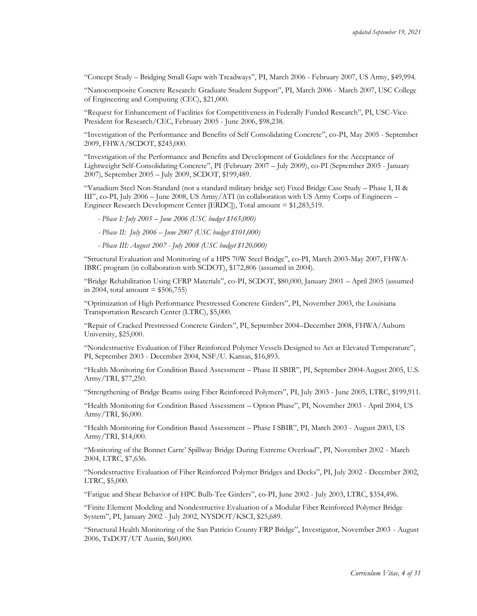"Concept Study – Bridging Small Gaps with Treadways", PI, March 2006 - February 2007, US Army, \$49,994.

"Nanocomposite Concrete Research: Graduate Student Support", PI, March 2006 - March 2007, USC College of Engineering and Computing (CEC), \$21,000.

"Request for Enhancement of Facilities for Competitiveness in Federally Funded Research", PI, USC-Vice-President for Research/CEC, February 2005 - June 2006, \$98,238.

"Investigation of the Performance and Benefits of Self Consolidating Concrete", co-PI, May 2005 - September 2009, FHWA/SCDOT, \$245,000.

"Investigation of the Performance and Benefits and Development of Guidelines for the Acceptance of Lightweight Self-Consolidating Concrete", PI (February 2007 – July 2009), co-PI (September 2005 - January 2007), September 2005 – July 2009, SCDOT, \$199,489.

"Vanadium Steel Non-Standard (not a standard military bridge set) Fixed Bridge Case Study – Phase I, II & III", co-PI, July 2006 – June 2008, US Army/ATI (in collaboration with US Army Corps of Engineers – Engineer Research Development Center [ERDC]), Total amount = \$1,283,519.

- *- Phase I: July 2005 – June 2006 (USC budget \$165,000)*
- *- Phase II: July 2006 – June 2007 (USC budget \$101,000)*
- *- Phase III: August 2007 - July 2008 (USC budget \$120,000)*

"Structural Evaluation and Monitoring of a HPS 70W Steel Bridge", co-PI, March 2003-May 2007, FHWA-IBRC program (in collaboration with SCDOT), \$172,806 (assumed in 2004).

"Bridge Rehabilitation Using CFRP Materials", co-PI, SCDOT, \$80,000, January 2001 – April 2005 (assumed in 2004, total amount  $= $506,755$ 

"Optimization of High Performance Prestressed Concrete Girders", PI, November 2003, the Louisiana Transportation Research Center (LTRC), \$5,000.

"Repair of Cracked Prestressed Concrete Girders", PI, September 2004–December 2008, FHWA/Auburn University, \$25,000.

"Nondestructive Evaluation of Fiber Reinforced Polymer Vessels Designed to Act at Elevated Temperature", PI, September 2003 - December 2004, NSF/U. Kansas, \$16,893.

"Health Monitoring for Condition Based Assessment – Phase II SBIR", PI, September 2004-August 2005, U.S. Army/TRI, \$77,250.

"Strengthening of Bridge Beams using Fiber Reinforced Polymers", PI, July 2003 - June 2005, LTRC, \$199,911.

"Health Monitoring for Condition Based Assessment – Option Phase", PI, November 2003 - April 2004, US Army/TRI, \$6,000.

"Health Monitoring for Condition Based Assessment – Phase I SBIR", PI, March 2003 - August 2003, US Army/TRI, \$14,000.

"Monitoring of the Bonnet Carre' Spillway Bridge During Extreme Overload", PI, November 2002 - March 2004, LTRC, \$7,636.

"Nondestructive Evaluation of Fiber Reinforced Polymer Bridges and Decks", PI, July 2002 - December 2002, LTRC, \$5,000.

"Fatigue and Shear Behavior of HPC Bulb-Tee Girders", co-PI, June 2002 - July 2003, LTRC, \$354,496.

"Finite Element Modeling and Nondestructive Evaluation of a Modular Fiber Reinforced Polymer Bridge System", PI, January 2002 - July 2002, NYSDOT/KSCI, \$25,689.

"Structural Health Monitoring of the San Patricio County FRP Bridge", Investigator, November 2003 - August 2006, TxDOT/UT Austin, \$60,000.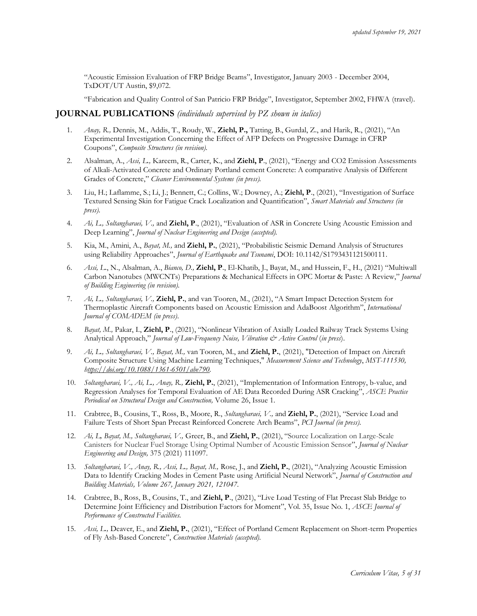"Acoustic Emission Evaluation of FRP Bridge Beams", Investigator, January 2003 - December 2004, TxDOT/UT Austin, \$9,072.

"Fabrication and Quality Control of San Patricio FRP Bridge", Investigator, September 2002, FHWA (travel).

### **JOURNAL PUBLICATIONS** *(individuals supervised by PZ shown in italics)*

- 1. *Anay, R.,* Dennis, M., Addis, T., Roudy, W., **Ziehl, P.,** Tatting, B., Gurdal, Z., and Harik, R., (2021), "An Experimental Investigation Concerning the Effect of AFP Defects on Progressive Damage in CFRP Coupons", *Composite Structures (in revision).*
- 2. Alsalman, A., *Assi, L.,* Kareem, R., Carter, K., and **Ziehl, P**., (2021), "Energy and CO2 Emission Assessments of Alkali-Activated Concrete and Ordinary Portland cement Concrete: A comparative Analysis of Different Grades of Concrete," *Cleaner Environmental Systems (in press).*
- 3. Liu, H.; Laflamme, S.; Li, J.; Bennett, C.; Collins, W.; Downey, A.; **Ziehl, P**., (2021), "Investigation of Surface Textured Sensing Skin for Fatigue Crack Localization and Quantification", *Smart Materials and Structures (in press).*
- 4. *Ai, L., Soltangharaei, V.,* and **Ziehl, P**., (2021), "Evaluation of ASR in Concrete Using Acoustic Emission and Deep Learning", *Journal of Nuclear Engineering and Design (accepted).*
- 5. Kia, M., Amini, A., *Bayat, M.,* and **Ziehl, P.**, (2021), "Probabilistic Seismic Demand Analysis of Structures using Reliability Approaches", *Journal of Earthquake and Tsunami*, DOI: 10.1142/S1793431121500111.
- 6. *Assi, L*., N., Alsalman, A., *Bianco, D.,* **Ziehl, P**., El-Khatib, J., Bayat, M., and Hussein, F., H., (2021) "Multiwall Carbon Nanotubes (MWCNTs) Preparations & Mechanical Effects in OPC Mortar & Paste: A Review," *Journal of Building Engineering (in revision).*
- 7. *Ai, L., Soltangharaei, V.,* **Ziehl, P.**, and van Tooren, M., (2021), "A Smart Impact Detection System for Thermoplastic Aircraft Components based on Acoustic Emission and AdaBoost Algorithm", *International Journal of COMADEM (in press)*.
- 8. *Bayat, M.,* Pakar, I., **Ziehl, P**., (2021), "Nonlinear Vibration of Axially Loaded Railway Track Systems Using Analytical Approach," *Journal of Low-Frequency Noise, Vibration & Active Control* (*in press*).
- 9. *Ai, L., Soltangharaei, V., Bayat, M.,* van Tooren, M., and **Ziehl, P.**, (2021), "Detection of Impact on Aircraft Composite Structure Using Machine Learning Techniques," *Measurement Science and Technology*, *MST-111530, [https://doi.org/10.1088/1361-6501/abe790.](https://doi.org/10.1088/1361-6501/abe790)*
- 10. *Soltangharaei, V., Ai, L., Anay, R.,* **Ziehl, P.**, (2021), "Implementation of Information Entropy, b-value, and Regression Analyses for Temporal Evaluation of AE Data Recorded During ASR Cracking", *ASCE Practice Periodical on Structural Design and Construction,* Volume 26, Issue 1.
- 11. Crabtree, B., Cousins, T., Ross, B., Moore, R., *Soltangharaei, V.,* and **Ziehl, P.**, (2021), "Service Load and Failure Tests of Short Span Precast Reinforced Concrete Arch Beams", *PCI Journal (in press).*
- 12. *Ai, L, Bayat, M., Soltangharaei, V.,* Greer, B., and **Ziehl, P.**, (2021), "Source Localization on Large-Scale Canisters for Nuclear Fuel Storage Using Optimal Number of Acoustic Emission Sensor", *Journal of Nuclear Engineering and Design,* 375 (2021) 111097.
- 13. *Soltangharaei, V., Anay, R., Assi, L., Bayat, M.,* Rose, J., and **Ziehl, P.**, (2021), "Analyzing Acoustic Emission Data to Identify Cracking Modes in Cement Paste using Artificial Neural Network", *Journal of Construction and Building Materials, Volume 267, January 2021, 121047.*
- 14. Crabtree, B., Ross, B., Cousins, T., and **Ziehl, P**., (2021), "Live Load Testing of Flat Precast Slab Bridge to Determine Joint Efficiency and Distribution Factors for Moment", Vol. 35, Issue No. 1, *ASCE Journal of Performance of Constructed Facilities.*
- 15. *Assi, L.,* Deaver, E., and **Ziehl, P.**, (2021), "Effect of Portland Cement Replacement on Short-term Properties of Fly Ash-Based Concrete", *Construction Materials (accepted)*.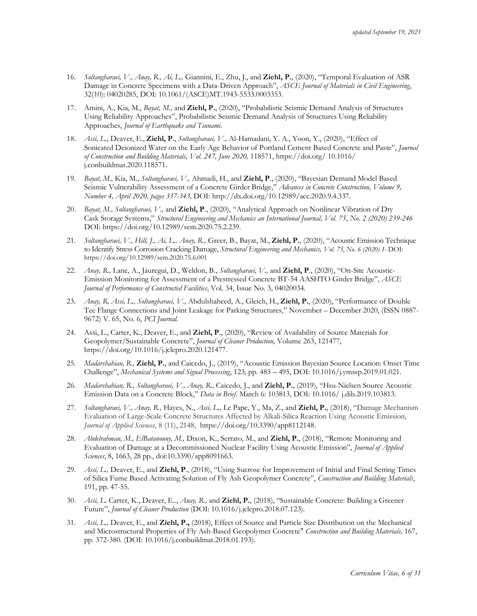- 16. *Soltangharaei, V., Anay, R., Ai, L.,* Giannini, E., Zhu, J., and **Ziehl, P.**, (2020), "Temporal Evaluation of ASR Damage in Concrete Specimens with a Data-Driven Approach", *ASCE Journal of Materials in Civil Engineering*, 32(10): 04020285, DOI: 10.1061/(ASCE)MT.1943-5533.0003353*.*
- 17. Amini, A., Kia, M., *Bayat, M.,* and **Ziehl, P.**, (2020), "Probabilistic Seismic Demand Analysis of Structures Using Reliability Approaches", Probabilistic Seismic Demand Analysis of Structures Using Reliability Approaches, *Journal of Earthquake and Tsunami.*
- 18. *Assi, L*., Deaver, E., **Ziehl, P.**, *Soltangharaei, V.,* Al-Hamadani, Y. A., Yoon, Y., (2020), "Effect of Sonicated Deionized Water on the Early Age Behavior of Portland Cement Based Concrete and Paste", *Journal of Construction and Building Materials, Vol. 247, June 2020,* 118571, https://doi.org/ 10.1016/ j.conbuildmat.2020.118571.
- 19. *Bayat, M.,* Kia, M., *Soltangharaei, V.,* Ahmadi, H., and **Ziehl, P**., (2020), "Bayesian Demand Model Based Seismic Vulnerability Assessment of a Concrete Girder Bridge," *Advances in Concrete Construction, Volume 9, Number 4, April 2020, pages 337-343,* DOI: http://dx.doi.org/10.12989/acc.2020.9.4.337*.*
- 20. *Bayat, M., Soltangharaei, V.,* and **Ziehl, P**., (2020), "Analytical Approach on Nonlinear Vibration of Dry Cask Storage Systems," *Structural Engineering and Mechanics an International Journal, Vol*. *75*, *No*. *2 (2020) 239-246*  DOI: https://doi.org/10.12989/sem.2020.75.2.239.
- 21. *Soltangharaei, V., Hill, J., Ai, L., Anay, R.,* Greer, B., Bayat, M., **Ziehl, P.**, (2020), "Acoustic Emission Technique to Identify Stress Corrosion Cracking Damage, *Structural Engineering and Mechanics, Vol*. *75*, *No*. *6 (2020) 1-* DOI: https://doi.org/10.12989/sem.2020.75.6.001
- 22. *Anay, R.,* Lane, A., Jáuregui, D., Weldon, B., *Soltangharaei, V.,* and **Ziehl, P**., (2020), "On-Site Acoustic-Emission Monitoring for Assessment of a Prestressed Concrete BT-54 AASHTO Girder Bridge", *ASCE Journal of Performance of Constructed Facilities*, Vol. 34, Issue No. 3, 04020034.
- 23. *Anay, R, Assi, L., Soltangharaei, V.,* Abdulshaheed, A., Gleich, H., **Ziehl, P.**, (2020), "Performance of Double Tee Flange Connections and Joint Leakage for Parking Structures," November – December 2020, (ISSN 0887- 9672) V. 65, No. 6, *PCI Journal.*
- 24. Assi, L., Carter, K., Deaver, E., and **Ziehl, P**., (2020), "Review of Availability of Source Materials for Geopolymer/Sustainable Concrete", *Journal of Cleaner Production,* Volume 263, 121477, https://doi.org/10.1016/j.jclepro.2020.121477.
- 25. *Madarshahian, R.,* **Ziehl, P.**, and Caicedo, J., (2019), "Acoustic Emission Bayesian Source Location: Onset Time Challenge", *Mechanical Systems and Signal Processing*, 123, pp. 483 – 495, DOI: 10.1016/j.ymssp.2019.01.021.
- 26. *Madarshahian, R., Soltangharaei, V., Anay, R.,* Caicedo, J., and **Ziehl, P.**, (2019), "Hsu-Nielsen Source Acoustic Emission Data on a Concrete Block," *Data in Brief*. March 6: 103813, DOI: 10.1016/ j.dib.2019.103813.
- 27. *Soltangharaei, V., Anay, R.,* Hayes, N., *Assi, L.,* Le Pape, Y., Ma, Z., and **Ziehl, P.**, (2018), "Damage Mechanism Evaluation of Large-Scale Concrete Structures Affected by Alkali-Silica Reaction Using Acoustic Emission, *Journal of Applied Sciences*, 8 (11), 2148, https://doi.org/10.3390/app8112148.
- 28. *Abdelrahman, M., ElBatanouny, M.,* Dixon, K., Serrato, M., and **Ziehl, P.**, (2018), "Remote Monitoring and Evaluation of Damage at a Decommissioned Nuclear Facility Using Acoustic Emission", *Journal of Applied Sciences*, 8, 1663, 28 pp., doi:10.3390/app8091663.
- 29. *Assi, L.,* Deaver, E., and **Ziehl, P**., (2018), "Using Sucrose for Improvement of Initial and Final Setting Times of Silica Fume Based Activating Solution of Fly Ash Geopolymer Concrete", *Construction and Building Materials*, 191, pp. 47-55.
- 30. *Assi, L.* Carter, K., Deaver, E.., *Anay, R.,* and **Ziehl, P.**, (2018), "Sustainable Concrete: Building a Greener Future", *Journal of Cleaner Production* (DOI: 10.1016/j.jclepro.2018.07.123).
- 31. *Assi, L.,* Deaver, E., and **Ziehl, P.,** (2018), Effect of Source and Particle Size Distribution on the Mechanical and Microstructural Properties of Fly Ash-Based Geopolymer Concrete" *Construction and Building Materials,* 167, pp. 372-380. (DOI: 10.1016/j.conbuildmat.2018.01.193).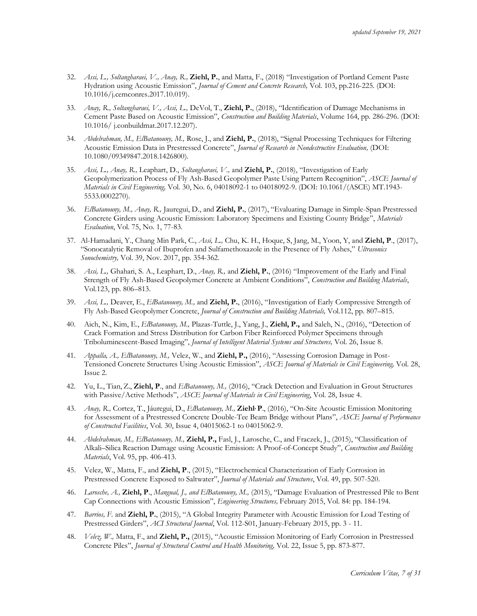- 32. *Assi, L., Soltangharaei, V., Anay, R.,* **Ziehl, P.**, and Matta, F., (2018) "Investigation of Portland Cement Paste Hydration using Acoustic Emission", *Journal of Cement and Concrete Research,* Vol. 103, pp.216-225. (DOI: 10.1016/j.cemconres.2017.10.019).
- 33. *Anay, R., Soltangharaei, V., Assi, L.,* DeVol, T., **Ziehl, P.**, (2018), "Identification of Damage Mechanisms in Cement Paste Based on Acoustic Emission", *Construction and Building Materials*, Volume 164, pp. 286-296. (DOI: 10.1016/ j.conbuildmat.2017.12.207).
- 34. *Abdelrahman, M., ElBatanouny, M.,* Rose, J., and **Ziehl, P.**, (2018), "Signal Processing Techniques for Filtering Acoustic Emission Data in Prestressed Concrete", *Journal of Research in Nondestructive Evaluation,* (DOI: 10.1080/09349847.2018.1426800).
- 35. *Assi, L., Anay, R.,* Leaphart, D., *Soltangharaei, V.,* and **Ziehl, P.**, (2018), "Investigation of Early Geopolymerization Process of Fly Ash-Based Geopolymer Paste Using Pattern Recognition", *ASCE Journal of Materials in Civil Engineering,* Vol. 30, No. 6, 04018092-1 to 04018092-9. (DOI: 10.1061/(ASCE) MT.1943- 5533.0002270).
- 36. *ElBatanouny, M., Anay, R.,* Jauregui, D., and **Ziehl, P.**, (2017), "Evaluating Damage in Simple-Span Prestressed Concrete Girders using Acoustic Emission: Laboratory Specimens and Existing County Bridge", *Materials Evaluation*, Vol. 75, No. 1, 77-83.
- 37. Al-Hamadani, Y., Chang Min Park, C., *Assi, L.,* Chu, K. H., Hoque, S, Jang, M., Yoon, Y, and **Ziehl, P**., (2017), "Sonocatalytic Removal of Ibuprofen and Sulfamethoxazole in the Presence of Fly Ashes," *Ultrasonics Sonochemistry,* Vol. 39, Nov. 2017, pp. 354-362.
- 38. *Assi, L.,* Ghahari, S. A., Leaphart, D., *Anay, R.,* and **Ziehl, P.**, (2016) "Improvement of the Early and Final Strength of Fly Ash-Based Geopolymer Concrete at Ambient Conditions", *Construction and Building Materials*, Vol.123, pp. 806–813.
- 39. *Assi, L.,* Deaver, E., *ElBatanouny, M.,* and **Ziehl, P.**, (2016), "Investigation of Early Compressive Strength of Fly Ash-Based Geopolymer Concrete, *Journal of Construction and Building Materials,* Vol.112, pp. 807–815.
- 40. Aich, N., Kim, E., *ElBatanouny, M.,* Plazas-Tuttle, J., Yang, J., **Ziehl, P.,** and Saleh, N., (2016), "Detection of Crack Formation and Stress Distribution for Carbon Fiber Reinforced Polymer Specimens through Triboluminescent-Based Imaging", *Journal of Intelligent Material Systems and Structures,* Vol. 26, Issue 8.
- 41. *Appalla, A., ElBatanouny, M.,* Velez, W., and **Ziehl, P.,** (2016), "Assessing Corrosion Damage in Post-Tensioned Concrete Structures Using Acoustic Emission", *ASCE Journal of Materials in Civil Engineering,* Vol. 28, Issue 2.
- 42. Yu, L., Tian, Z., **Ziehl, P**., and *ElBatanouny, M.,* (2016), "Crack Detection and Evaluation in Grout Structures with Passive/Active Methods", *ASCE Journal of Materials in Civil Engineering*, Vol. 28, Issue 4.
- 43. *Anay, R.,* Cortez, T., Jáuregui, D., *ElBatanouny, M.,* **Ziehl, P**., (2016), "On-Site Acoustic Emission Monitoring for Assessment of a Prestressed Concrete Double-Tee Beam Bridge without Plans", *ASCE Journal of Performance of Constructed Facilities*, Vol. 30, Issue 4, 04015062-1 to 04015062-9.
- 44. *Abdelrahman, M., ElBatanouny, M.,* **Ziehl, P.,** Fasl, J., Larosche, C., and Fraczek, J., (2015), "Classification of Alkali–Silica Reaction Damage using Acoustic Emission: A Proof-of-Concept Study", *Construction and Building Materials*, Vol. 95, pp. 406-413.
- 45. Velez, W., Matta, F., and **Ziehl, P**., (2015), "Electrochemical Characterization of Early Corrosion in Prestressed Concrete Exposed to Saltwater", *Journal of Materials and Structures*, Vol. 49, pp. 507-520.
- 46. *Larosche, A.,* **Ziehl, P**., *Mangual, J., and ElBatanouny, M.,* (2015), "Damage Evaluation of Prestressed Pile to Bent Cap Connections with Acoustic Emission", *Engineering Structures,* February 2015, Vol. 84: pp. 184-194.
- 47. *Barrios, F.* and **Ziehl, P.**, (2015), "A Global Integrity Parameter with Acoustic Emission for Load Testing of Prestressed Girders", *ACI Structural Journal*, Vol. 112-S01, January-February 2015, pp. 3 - 11.
- 48. *Velez, W.,* Matta, F., and **Ziehl, P.,** (2015), "Acoustic Emission Monitoring of Early Corrosion in Prestressed Concrete Piles", *Journal of Structural Control and Health Monitoring,* Vol. 22, Issue 5, pp. 873-877.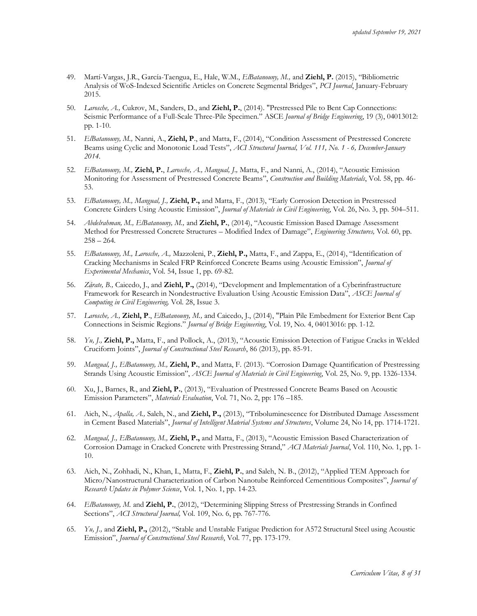- 49. Martí-Vargas, J.R., García-Taengua, E., Hale, W.M., *ElBatanouny, M.,* and **Ziehl, P.** (2015), "Bibliometric Analysis of WoS-Indexed Scientific Articles on Concrete Segmental Bridges", *PCI Journal*, January-February 2015.
- 50. *Larosche, A.,* Cukrov, M., Sanders, D., and **Ziehl, P.**, (2014). "Prestressed Pile to Bent Cap Connections: Seismic Performance of a Full-Scale Three-Pile Specimen." ASCE *Journal of Bridge Engineering*, 19 (3), 04013012: pp. 1-10.
- 51. *ElBatanouny, M.,* Nanni, A., **Ziehl, P**., and Matta, F., (2014), "Condition Assessment of Prestressed Concrete Beams using Cyclic and Monotonic Load Tests", *ACI Structural Journal, Vol. 111, No. 1 - 6, December-January 2014.*
- 52. *ElBatanouny, M.,* **Ziehl, P.**, *Larosche, A., Mangual, J.,* Matta, F., and Nanni, A., (2014), "Acoustic Emission Monitoring for Assessment of Prestressed Concrete Beams", *Construction and Building Materials*, Vol. 58, pp. 46- 53.
- 53. *ElBatanouny, M., Mangual, J.,* **Ziehl, P.,** and Matta, F., (2013), "Early Corrosion Detection in Prestressed Concrete Girders Using Acoustic Emission", *Journal of Materials in Civil Engineering*, Vol. 26, No. 3, pp. 504–511.
- 54. *Abdelrahman, M., ElBatanouny, M.,* and **Ziehl, P.**, (2014), "Acoustic Emission Based Damage Assessment Method for Prestressed Concrete Structures – Modified Index of Damage", *Engineering Structures,* Vol. 60, pp.  $258 - 264.$
- 55. *ElBatanouny, M., Larosche, A.,* Mazzoleni, P., **Ziehl, P.,** Matta, F., and Zappa, E., (2014), "Identification of Cracking Mechanisms in Scaled FRP Reinforced Concrete Beams using Acoustic Emission", *Journal of Experimental Mechanics*, Vol. 54, Issue 1, pp. 69-82.
- 56. *Zárate, B.,* Caicedo, J., and **Ziehl, P.,** (2014), "Development and Implementation of a Cyberinfrastructure Framework for Research in Nondestructive Evaluation Using Acoustic Emission Data", *ASCE Journal of Computing in Civil Engineering,* Vol. 28, Issue 3.
- 57. *Larosche, A.,* **Ziehl, P**., *ElBatanouny, M.,* and Caicedo, J., (2014), "Plain Pile Embedment for Exterior Bent Cap Connections in Seismic Regions." *Journal of Bridge Engineering*, Vol. 19, No. 4, 04013016: pp. 1-12.
- 58. *Yu, J.,* **Ziehl, P.,** Matta, F., and Pollock, A., (2013), "Acoustic Emission Detection of Fatigue Cracks in Welded Cruciform Joints", *Journal of Constructional Steel Research*, 86 (2013), pp. 85-91.
- 59. *Mangual, J., ElBatanouny, M.,* **Ziehl, P.**, and Matta, F. (2013). "Corrosion Damage Quantification of Prestressing Strands Using Acoustic Emission", *ASCE Journal of Materials in Civil Engineering*, Vol. 25, No. 9, pp. 1326-1334.
- 60. Xu, J., Barnes, R., and **Ziehl, P.**, (2013), "Evaluation of Prestressed Concrete Beams Based on Acoustic Emission Parameters", *Materials Evaluation*, Vol. 71, No. 2, pp: 176 –185.
- 61. Aich, N., *Apalla, A.,* Saleh, N., and **Ziehl, P.,** (2013), "Triboluminescence for Distributed Damage Assessment in Cement Based Materials", *Journal of Intelligent Material Systems and Structures*, Volume 24, No 14, pp. 1714-1721.
- 62. *Mangual, J., ElBatanouny, M.,* **Ziehl, P.,** and Matta, F., (2013), "Acoustic Emission Based Characterization of Corrosion Damage in Cracked Concrete with Prestressing Strand," *ACI Materials Journal*, Vol. 110, No. 1, pp. 1- 10.
- 63. Aich, N., Zohhadi, N., Khan, I., Matta, F., **Ziehl, P.**, and Saleh, N. B., (2012), "Applied TEM Approach for Micro/Nanostructural Characterization of Carbon Nanotube Reinforced Cementitious Composites", *Journal of Research Updates in Polymer Science*, Vol. 1, No. 1, pp. 14-23.
- 64. *ElBatanouny, M.* and **Ziehl, P.**, (2012), "Determining Slipping Stress of Prestressing Strands in Confined Sections", *ACI Structural Journal,* Vol. 109, No. 6, pp. 767-776.
- 65. *Yu, J.,* and **Ziehl, P.,** (2012), "Stable and Unstable Fatigue Prediction for A572 Structural Steel using Acoustic Emission", *Journal of Constructional Steel Research*, Vol. 77, pp. 173-179.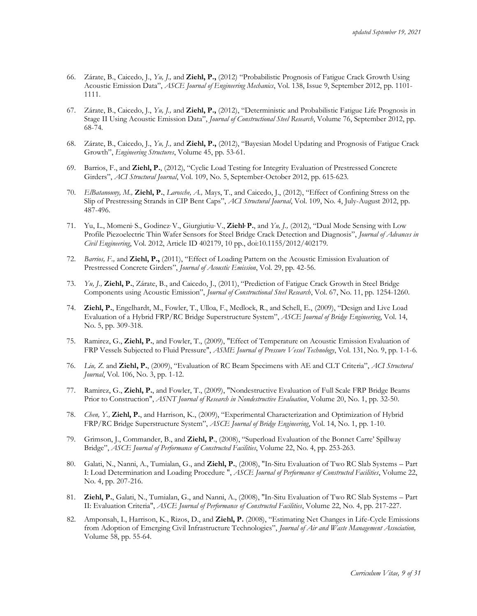- 66. Zárate, B., Caicedo, J., *Yu, J.,* and **Ziehl, P.,** (2012) "Probabilistic Prognosis of Fatigue Crack Growth Using Acoustic Emission Data", *ASCE Journal of Engineering Mechanics*, Vol. 138, Issue 9, September 2012, pp. 1101- 1111.
- 67. Zárate, B., Caicedo, J., *Yu, J.,* and **Ziehl, P.,** (2012), "Deterministic and Probabilistic Fatigue Life Prognosis in Stage II Using Acoustic Emission Data", *Journal of Constructional Steel Research*, Volume 76, September 2012, pp. 68-74.
- 68. Zárate, B., Caicedo, J., *Yu, J.,* and **Ziehl, P.,** (2012), "Bayesian Model Updating and Prognosis of Fatigue Crack Growth", *Engineering Structures*, Volume 45, pp. 53-61.
- 69. Barrios, F., and **Ziehl, P.**, (2012), "Cyclic Load Testing for Integrity Evaluation of Prestressed Concrete Girders", *ACI Structural Journal*, Vol. 109, No. 5, September-October 2012, pp. 615-623.
- 70. *ElBatanouny, M.,* **Ziehl, P.**, *Larosche, A.,* Mays, T., and Caicedo, J., (2012), "Effect of Confining Stress on the Slip of Prestressing Strands in CIP Bent Caps", *ACI Structural Journal*, Vol. 109, No. 4, July-August 2012, pp. 487-496.
- 71. Yu, L., Momeni<sup>, S.</sup>, Godinez<sup>,</sup> V., Giurgiutiu<sup>,</sup> V., Ziehl<sup>,</sup> P., and *Yu*, *J.*, (2012), "Dual Mode Sensing with Low Profile Piezoelectric Thin Wafer Sensors for Steel Bridge Crack Detection and Diagnosis", *Journal of Advances in Civil Engineering*, Vol. 2012, Article ID 402179, 10 pp., doi:10.1155/2012/402179.
- 72. *Barrios, F.,* and **Ziehl, P.,** (2011), "Effect of Loading Pattern on the Acoustic Emission Evaluation of Prestressed Concrete Girders", *Journal of Acoustic Emission*, Vol. 29, pp. 42-56.
- 73. *Yu, J.,* **Ziehl, P.**, Zárate, B., and Caicedo, J., (2011), "Prediction of Fatigue Crack Growth in Steel Bridge Components using Acoustic Emission", *Journal of Constructional Steel Research*, Vol. 67, No. 11, pp. 1254-1260.
- 74. **Ziehl, P.**, Engelhardt, M., Fowler, T., Ulloa, F., Medlock, R., and Schell, E., (2009), "Design and Live Load Evaluation of a Hybrid FRP/RC Bridge Superstructure System", *ASCE Journal of Bridge Engineering*, Vol. 14, No. 5, pp. 309-318.
- 75. Ramirez, G., **Ziehl, P.**, and Fowler, T., (2009), "Effect of Temperature on Acoustic Emission Evaluation of FRP Vessels Subjected to Fluid Pressure", *ASME Journal of Pressure Vessel Technology*, Vol. 131, No. 9, pp. 1-1-6.
- 76. *Liu, Z.* and **Ziehl, P.**, (2009), "Evaluation of RC Beam Specimens with AE and CLT Criteria", *ACI Structural Journal*, Vol. 106, No. 3, pp. 1-12.
- 77. Ramirez, G., **Ziehl, P.**, and Fowler, T., (2009), "Nondestructive Evaluation of Full Scale FRP Bridge Beams Prior to Construction", *ASNT Journal of Research in Nondestructive Evaluation*, Volume 20, No. 1, pp. 32-50.
- 78. *Chen, Y.,* **Ziehl, P.**, and Harrison, K., (2009), "Experimental Characterization and Optimization of Hybrid FRP/RC Bridge Superstructure System", *ASCE Journal of Bridge Engineering*, Vol. 14, No. 1, pp. 1-10.
- 79. Grimson, J., Commander, B., and **Ziehl, P**., (2008), "Superload Evaluation of the Bonnet Carre' Spillway Bridge", *ASCE Journal of Performance of Constructed Facilities*, Volume 22, No. 4, pp. 253-263.
- 80. Galati, N., Nanni, A., Tumialan, G., and **Ziehl, P.**, (2008), "In-Situ Evaluation of Two RC Slab Systems Part I: Load Determination and Loading Procedure ", *ASCE Journal of Performance of Constructed Facilities*, Volume 22, No. 4, pp. 207-216.
- 81. **Ziehl, P.**, Galati, N., Tumialan, G., and Nanni, A., (2008), "In-Situ Evaluation of Two RC Slab Systems Part II: Evaluation Criteria", *ASCE Journal of Performance of Constructed Facilities*, Volume 22, No. 4, pp. 217-227.
- 82. Amponsah, I., Harrison, K., Rizos, D., and **Ziehl, P.** (2008), "Estimating Net Changes in Life-Cycle Emissions from Adoption of Emerging Civil Infrastructure Technologies", *Journal of Air and Waste Management Association,*  Volume 58, pp. 55-64.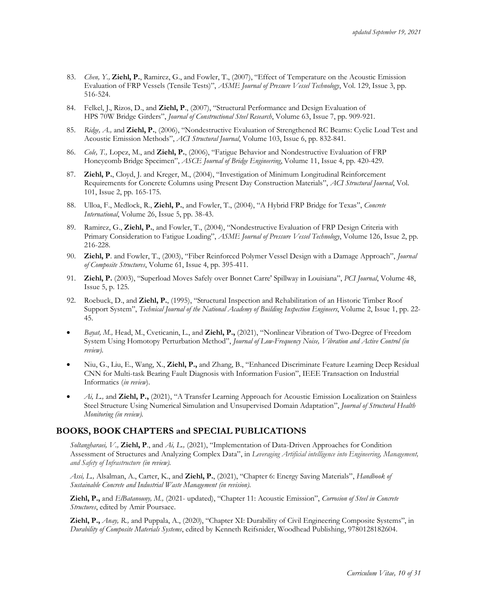- 83. *Chen, Y.,* **Ziehl, P.**, Ramirez, G., and Fowler, T., (2007), "Effect of Temperature on the Acoustic Emission Evaluation of FRP Vessels (Tensile Tests)", *ASME Journal of Pressure Vessel Technology*, Vol. 129, Issue 3, pp. 516-524.
- 84. Felkel, J., Rizos, D., and **Ziehl, P**., (2007), "Structural Performance and Design Evaluation of HPS 70W Bridge Girders", *Journal of Constructional Steel Research*, Volume 63, Issue 7, pp. 909-921.
- 85. *Ridge, A.,* and **Ziehl, P.**, (2006), "Nondestructive Evaluation of Strengthened RC Beams: Cyclic Load Test and Acoustic Emission Methods", *ACI Structural Journal*, Volume 103, Issue 6, pp. 832-841.
- 86. *Cole, T.,* Lopez, M., and **Ziehl, P.**, (2006), "Fatigue Behavior and Nondestructive Evaluation of FRP Honeycomb Bridge Specimen", *ASCE Journal of Bridge Engineering*, Volume 11, Issue 4, pp. 420-429.
- 87. **Ziehl, P.**, Cloyd, J. and Kreger, M., (2004), "Investigation of Minimum Longitudinal Reinforcement Requirements for Concrete Columns using Present Day Construction Materials", *ACI Structural Journal*, Vol. 101, Issue 2, pp. 165-175.
- 88. Ulloa, F., Medlock, R., **Ziehl, P.**, and Fowler, T., (2004), "A Hybrid FRP Bridge for Texas", *Concrete International*, Volume 26, Issue 5, pp. 38-43.
- 89. Ramirez, G., **Ziehl, P.**, and Fowler, T., (2004), "Nondestructive Evaluation of FRP Design Criteria with Primary Consideration to Fatigue Loading", *ASME Journal of Pressure Vessel Technology*, Volume 126, Issue 2, pp. 216-228.
- 90. **Ziehl, P**. and Fowler, T., (2003), "Fiber Reinforced Polymer Vessel Design with a Damage Approach", *Journal of Composite Structures*, Volume 61, Issue 4, pp. 395-411.
- 91. **Ziehl, P.** (2003), "Superload Moves Safely over Bonnet Carre' Spillway in Louisiana", *PCI Journal*, Volume 48, Issue 5, p. 125.
- 92. Roebuck, D., and **Ziehl, P.**, (1995), "Structural Inspection and Rehabilitation of an Historic Timber Roof Support System", *Technical Journal of the National Academy of Building Inspection Engineers*, Volume 2, Issue 1, pp. 22- 45.
- *Bayat, M.,* Head, M., Cveticanin, L., and **Ziehl, P.,** (2021), "Nonlinear Vibration of Two-Degree of Freedom System Using Homotopy Perturbation Method", *Journal of Low-Frequency Noise, Vibration and Active Control (in review).*
- Niu, G., Liu, E., Wang, X., **Ziehl, P.,** and Zhang, B., "Enhanced Discriminate Feature Learning Deep Residual CNN for Multi-task Bearing Fault Diagnosis with Information Fusion", IEEE Transaction on Industrial Informatics (*in review*).
- *Ai, L.,* and **Ziehl, P.,** (2021), "A Transfer Learning Approach for Acoustic Emission Localization on Stainless Steel Structure Using Numerical Simulation and Unsupervised Domain Adaptation", *Journal of Structural Health Monitoring (in review).*

### **BOOKS, BOOK CHAPTERS and SPECIAL PUBLICATIONS**

*Soltangharaei, V.,* **Ziehl, P**., and *Ai, L.,* (2021), "Implementation of Data-Driven Approaches for Condition Assessment of Structures and Analyzing Complex Data", in *Leveraging Artificial intelligence into Engineering, Management, and Safety of Infrastructure (in review).*

*Assi, L.,* Alsalman, A., Carter, K., and **Ziehl, P.**, (2021), "Chapter 6: Energy Saving Materials", *Handbook of Sustainable Concrete and Industrial Waste Management (in revision).*

**Ziehl, P.,** and *ElBatanouny, M.,* (2021- updated), "Chapter 11: Acoustic Emission", *Corrosion of Steel in Concrete Structures*, edited by Amir Poursaee.

**Ziehl, P.,** *Anay, R.,* and Puppala, A., (2020), "Chapter XI: Durability of Civil Engineering Composite Systems", in *Durability of Composite Materials Systems*, edited by Kenneth Reifsnider, Woodhead Publishing, 9780128182604.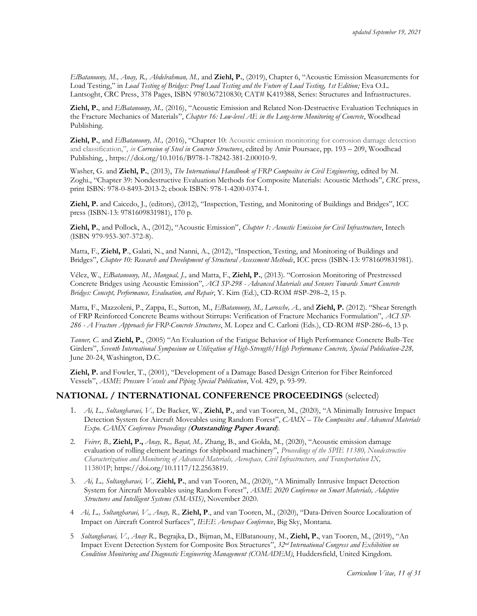*ElBatanouny, M., Anay, R., Abdelrahman, M.,* and **Ziehl, P.**, (2019), Chapter 6, "Acoustic Emission Measurements for Load Testing," in *Load Testing of Bridges: Proof Load Testing and the Future of Load Testing, 1st Edition; Eva O.L.* Lantsoght, CRC Press, 378 Pages, ISBN 9780367210830; CAT# K419388, Series: Structures and Infrastructures.

**Ziehl, P.**, and *ElBatanouny, M.,* (2016), "Acoustic Emission and Related Non-Destructive Evaluation Techniques in the Fracture Mechanics of Materials", *Chapter 16: Low-level AE in the Long-term Monitoring of Concrete*, Woodhead Publishing.

**Ziehl, P.**, and *ElBatanouny, M.,* (2016), "Chapter 10: Acoustic emission monitoring for corrosion damage detection and classification,", *in Corrosion of Steel in Concrete Structures*, edited by Amir Poursaee, pp. 193 – 209, Woodhead Publishing, , https://doi.org/10.1016/B978-1-78242-381-2.00010-9.

Washer, G. and **Ziehl, P.**, (2013), *The International Handbook of FRP Composites in Civil Engineering*, edited by M. Zoghi., "Chapter 39: Nondestructive Evaluation Methods for Composite Materials: Acoustic Methods", *CRC* press, print ISBN: 978-0-8493-2013-2; ebook ISBN: 978-1-4200-0374-1.

**Ziehl, P.** and Caicedo, J., (editors), (2012), "Inspection, Testing, and Monitoring of Buildings and Bridges", ICC press (ISBN-13: 9781609831981), 170 p*.*

**Ziehl, P.**, and Pollock, A., (2012), "Acoustic Emission", *Chapter 1: Acoustic Emission for Civil Infrastructure*, Intech (ISBN 979-953-307-372-8).

Matta, F., **Ziehl, P**., Galati, N., and Nanni, A., (2012), "Inspection, Testing, and Monitoring of Buildings and Bridges", *Chapter 10: Research and Development of Structural Assessment Methods*, ICC press (ISBN-13: 9781609831981).

Vélez, W., *ElBatanouny, M., Mangual, J.,* and Matta, F., **Ziehl, P.**, (2013). "Corrosion Monitoring of Prestressed Concrete Bridges using Acoustic Emission", *ACI SP-298 - Advanced Materials and Sensors Towards Smart Concrete Bridges: Concept, Performance, Evaluation, and Repair*, Y. Kim (Ed.), CD-ROM #SP-298–2, 15 p.

Matta, F., Mazzoleni, P., Zappa, E., Sutton, M., *ElBatanouny, M., Larosche, A.,* and **Ziehl, P.** (2012). "Shear Strength of FRP Reinforced Concrete Beams without Stirrups: Verification of Fracture Mechanics Formulation", *ACI SP-286 - A Fracture Approach for FRP-Concrete Structures*, M. Lopez and C. Carloni (Eds.), CD-ROM #SP-286–6, 13 p.

*Tanner, C.* and **Ziehl, P.**, (2005) "An Evaluation of the Fatigue Behavior of High Performance Concrete Bulb-Tee Girders", *Seventh International Symposium on Utilization of High-Strength/High Performance Concrete, Special Publication-228,* June 20-24, Washington, D.C.

**Ziehl, P.** and Fowler, T., (2001), "Development of a Damage Based Design Criterion for Fiber Reinforced Vessels", *ASME Pressure Vessels and Piping Special Publication*, Vol. 429, p. 93-99.

### **NATIONAL / INTERNATIONAL CONFERENCE PROCEEDINGS** (selected)

- 1. *Ai, L., Soltangharaei, V.,* De Backer, W., **Ziehl, P.**, and van Tooren, M., (2020), "A Minimally Intrusive Impact Detection System for Aircraft Moveables using Random Forest", *CAMX – The Composites and Advanced Materials Expo. CAMX Conference Proceedings (***Outstanding Paper Award***).*
- 2. *Feirer, B.,* **Ziehl, P.,** *Anay, R., Bayat, M.,* Zhang, B., and Golda, M., (2020), "Acoustic emission damage evaluation of rolling element bearings for shipboard machinery", *Proceedings of the SPIE 11380, Nondestructive Characterization and Monitoring of Advanced Materials, Aerospace, Civil Infrastructure, and Transportation IX,* 113801P; https://doi.org/10.1117/12.2563819.
- 3. *Ai, L., Soltangharaei, V.,* **Ziehl, P.**, and van Tooren, M., (2020), "A Minimally Intrusive Impact Detection System for Aircraft Moveables using Random Forest", *ASME 2020 Conference on Smart Materials, Adaptive Structures and Intelligent Systems (SMASIS)*, November 2020.
- 4 *Ai, L., Soltangharaei, V., Anay, R.,* **Ziehl, P**., and van Tooren, M., (2020), "Data-Driven Source Localization of Impact on Aircraft Control Surfaces", *IEEE Aerospace Conference*, Big Sky, Montana.
- 5 *Soltangharaei, V., Anay, R.,* Begrajka, D., Bijman, M., ElBatanouny, M., **Ziehl, P.**, van Tooren, M., (2019), "An Impact Event Detection System for Composite Box Structures", *32nd International Congress and Exhibition on Condition Monitoring and Diagnostic Engineering Management (COMADEM)*, Huddersfield, United Kingdom.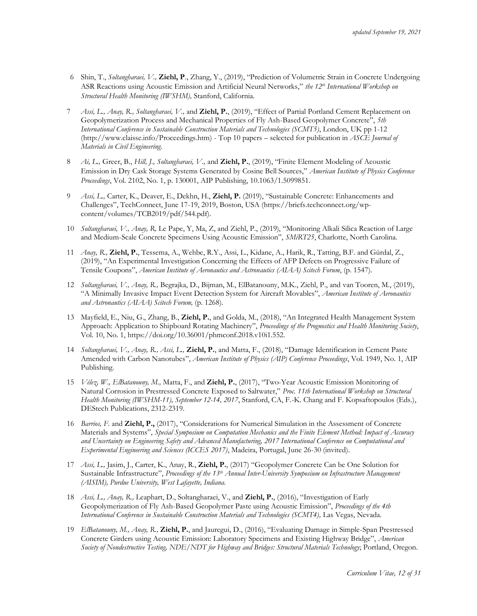- 6 Shin, T., *Soltangharaei, V.,* **Ziehl, P**., Zhang, Y., (2019), "Prediction of Volumetric Strain in Concrete Undergoing ASR Reactions using Acoustic Emission and Artificial Neural Networks," *the 12th International Workshop on Structural Health Monitoring (IWSHM),* Stanford, California.
- 7 *Assi, L., Anay, R., Soltangharaei, V.,* and **Ziehl, P.**, (2019), "Effect of Partial Portland Cement Replacement on Geopolymerization Process and Mechanical Properties of Fly Ash-Based Geopolymer Concrete", *5th International Conference in Sustainable Construction Materials and Technologies (SCMT5)*, London, UK pp 1-12 (http://www.claisse.info/Proceedings.htm) - Top 10 papers – selected for publication in *ASCE Journal of Materials in Civil Engineering*.
- 8 *Ai, L.,* Greer, B., *Hill, J., Soltangharaei, V.,* and **Ziehl, P.**, (2019), "Finite Element Modeling of Acoustic Emission in Dry Cask Storage Systems Generated by Cosine Bell Sources," *American Institute of Physics Conference Proceedings*, Vol. 2102, No. 1, p. 130001, AIP Publishing, 10.1063/1.5099851.
- 9 *Assi, L.,* Carter, K., Deaver, E., Dekhn, H., **Ziehl, P.** (2019), "Sustainable Concrete: Enhancements and Challenges", TechConnect, June 17-19, 2019, Boston, USA (https://briefs.techconnect.org/wpcontent/volumes/TCB2019/pdf/544.pdf).
- 10 *Soltangharaei, V., Anay, R,* Le Pape, Y, Ma, Z, and Ziehl, P., (2019), "Monitoring Alkali Silica Reaction of Large and Medium-Scale Concrete Specimens Using Acoustic Emission", *SMiRT25*, Charlotte, North Carolina.
- 11 *Anay, R.,* **Ziehl, P.**, Tessema, A., Wehbe, R.Y., Assi, L., Kidane, A., Harik, R., Tatting, B.F. and Gürdal, Z., (2019), "An Experimental Investigation Concerning the Effects of AFP Defects on Progressive Failure of Tensile Coupons", *American Institute of Aeronautics and Astronautics (AIAA) Scitech Forum*, (p. 1547).
- 12 *Soltangharaei, V., Anay, R.,* Begrajka, D., Bijman, M., ElBatanouny, M.K., Ziehl, P., and van Tooren, M., (2019), "A Minimally Invasive Impact Event Detection System for Aircraft Movables", *American Institute of Aeronautics and Astronautics (AIAA) Scitech Forum,* (p. 1268).
- 13 Mayfield, E., Niu, G., Zhang, B., **Ziehl, P.**, and Golda, M., (2018), "An Integrated Health Management System Approach: Application to Shipboard Rotating Machinery", *Proceedings of the Prognostics and Health Monitoring Society*, Vol. 10, No. 1, https://doi.org/10.36001/phmconf.2018.v10i1.552.
- 14 *Soltangharaei, V., Anay, R., Assi, L.,* **Ziehl, P.**, and Matta, F., (2018), "Damage Identification in Cement Paste Amended with Carbon Nanotubes", *American Institute of Physics (AIP) Conference Proceedings*, Vol. 1949, No. 1, AIP Publishing.
- 15 *Vélez, W., ElBatanouny, M.,* Matta, F., and **Ziehl, P.**, (2017), "Two-Year Acoustic Emission Monitoring of Natural Corrosion in Prestressed Concrete Exposed to Saltwater," *Proc. 11th International Workshop on Structural Health Monitoring (IWSHM-11), September 12-14, 2017*, Stanford, CA, F.-K. Chang and F. Kopsaftopoulos (Eds.), DEStech Publications, 2312-2319.
- 16 *Barrios, F.* and **Ziehl, P.,** (2017), "Considerations for Numerical Simulation in the Assessment of Concrete Materials and Systems", *Special Symposium on Computation Mechanics and the Finite Element Method: Impact of Accuracy and Uncertainty on Engineering Safety and Advanced Manufacturing, 2017 International Conference on Computational and Experimental Engineering and Sciences (ICCES 2017)*, Madeira, Portugal, June 26-30 (invited).
- 17 *Assi, L.,* Jasim, J., Carter, K., Anay, R., **Ziehl, P.**, (2017) "Geopolymer Concrete Can be One Solution for Sustainable Infrastructure", *Proceedings of the 13th Annual Inter-University Symposium on Infrastructure Management (AISIM), Purdue University, West Lafayette, Indiana.*
- 18 *Assi, L., Anay, R.,* Leaphart, D., Soltangharaei, V., and **Ziehl, P.**, (2016), "Investigation of Early Geopolymerization of Fly Ash-Based Geopolymer Paste using Acoustic Emission", *Proceedings of the 4th International Conference in Sustainable Construction Materials and Technologies (SCMT4),* Las Vegas, Nevada.
- 19 *ElBatanouny, M., Anay, R.,* **Ziehl, P.**, and Jauregui, D., (2016), "Evaluating Damage in Simple-Span Prestressed Concrete Girders using Acoustic Emission: Laboratory Specimens and Existing Highway Bridge", *American Society of Nondestructive Testing, NDE/NDT for Highway and Bridges: Structural Materials Technology*; Portland, Oregon.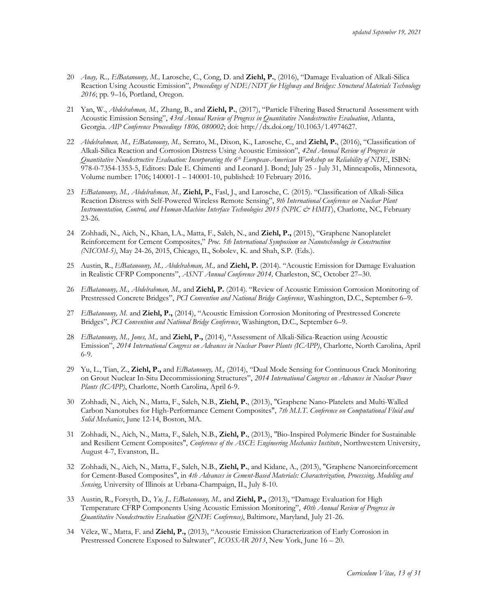- 20 *Anay, R.., ElBatanouny, M.,* Larosche, C., Cong, D. and **Ziehl, P.**, (2016), "Damage Evaluation of Alkali-Silica Reaction Using Acoustic Emission", *Proceedings of NDE/NDT for Highway and Bridges: Structural Materials Technology 2016*; pp. 9–16, Portland, Oregon.
- 21 Yan, W., *Abdelrahman, M.,* Zhang, B., and **Ziehl, P.**, (2017), "Particle Filtering Based Structural Assessment with Acoustic Emission Sensing", *43rd Annual Review of Progress in Quantitative Nondestructive Evaluation*, Atlanta, Georgia. *AIP Conference Proceedings 1806, 080002*; doi: http://dx.doi.org/10.1063/1.4974627.
- 22 *Abdelrahman, M., ElBatanouny, M.,* Serrato, M., Dixon, K., Larosche, C., and **Ziehl, P.**, (2016), "Classification of Alkali-Silica Reaction and Corrosion Distress Using Acoustic Emission", *42nd Annual Review of Progress in Quantitative Nondestructive Evaluation: Incorporating the 6th European-American Workshop on Reliability of NDE*, ISBN: 978-0-7354-1353-5, Editors: Dale E. Chimenti and Leonard J. Bond; July 25 - July 31, Minneapolis, Minnesota, Volume number: 1706; 140001-1 – 140001-10, published: 10 February 2016.
- 23 *ElBatanouny, M., Abdelrahman, M.,* **Ziehl, P.**, Fasl, J., and Larosche, C. (2015). "Classification of Alkali-Silica Reaction Distress with Self-Powered Wireless Remote Sensing", *9th International Conference on Nuclear Plant Instrumentation, Control, and Human-Machine Interface Technologies 2015 (NPIC & HMIT*), Charlotte, NC, February 23-26.
- 24 Zohhadi, N., Aich, N., Khan, I.A., Matta, F., Saleh, N., and **Ziehl, P.,** (2015), "Graphene Nanoplatelet Reinforcement for Cement Composites," *Proc. 5th International Symposium on Nanotechnology in Construction (NICOM-5)*, May 24-26, 2015, Chicago, IL, Sobolev, K. and Shah, S.P. (Eds.).
- 25 Austin, R., *ElBatanouny, M., Abdelrahman, M.,* and **Ziehl, P.** (2014). "Acoustic Emission for Damage Evaluation in Realistic CFRP Components", *ASNT Annual Conference 2014,* Charleston, SC, October 27–30.
- 26 *ElBatanouny, M., Abdelrahman, M.,* and **Ziehl, P.** (2014). "Review of Acoustic Emission Corrosion Monitoring of Prestressed Concrete Bridges", *PCI Convention and National Bridge Conference*, Washington, D.C., September 6–9.
- 27 *ElBatanouny, M.* and **Ziehl, P.,** (2014), "Acoustic Emission Corrosion Monitoring of Prestressed Concrete Bridges", *PCI Convention and National Bridge Conference*, Washington, D.C., September 6–9.
- 28 *ElBatanouny, M., Jones, M.,* and **Ziehl, P.,** (2014), "Assessment of Alkali-Silica-Reaction using Acoustic Emission", *2014 International Congress on Advances in Nuclear Power Plants (ICAPP)*, Charlotte, North Carolina, April 6-9.
- 29 Yu, L., Tian, Z., **Ziehl, P.,** and *ElBatanouny, M.,* (2014), "Dual Mode Sensing for Continuous Crack Monitoring on Grout Nuclear In-Situ Decommissioning Structures", *2014 International Congress on Advances in Nuclear Power Plants (ICAPP)*, Charlotte, North Carolina, April 6-9.
- 30 Zohhadi, N., Aich, N., Matta, F., Saleh, N.B., **Ziehl, P.**, (2013), "Graphene Nano-Platelets and Multi-Walled Carbon Nanotubes for High-Performance Cement Composites", *7th M.I.T. Conference on Computational Fluid and Solid Mechanics*, June 12-14, Boston, MA.
- 31 Zohhadi, N., Aich, N., Matta, F., Saleh, N.B., **Ziehl, P.**, (2013), "Bio-Inspired Polymeric Binder for Sustainable and Resilient Cement Composites", *Conference of the ASCE Engineering Mechanics Institute*, Northwestern University, August 4-7, Evanston, IL.
- 32 Zohhadi, N., Aich, N., Matta, F., Saleh, N.B., **Ziehl, P.**, and Kidane, A., (2013), "Graphene Nanoreinforcement for Cement-Based Composites", in *4th Advances in Cement-Based Materials: Characterization, Processing, Modeling and Sensing*, University of Illinois at Urbana-Champaign, IL, July 8-10.
- 33 Austin, R., Forsyth, D., *Yu, J., ElBatanouny, M.,* and **Ziehl, P.,** (2013), "Damage Evaluation for High Temperature CFRP Components Using Acoustic Emission Monitoring", *40th Annual Review of Progress in Quantitative Nondestructive Evaluation (QNDE Conference)*, Baltimore, Maryland, July 21-26.
- 34 Vélez, W., Matta, F. and **Ziehl, P.,** (2013), "Acoustic Emission Characterization of Early Corrosion in Prestressed Concrete Exposed to Saltwater", *ICOSSAR 2013*, New York, June 16 – 20.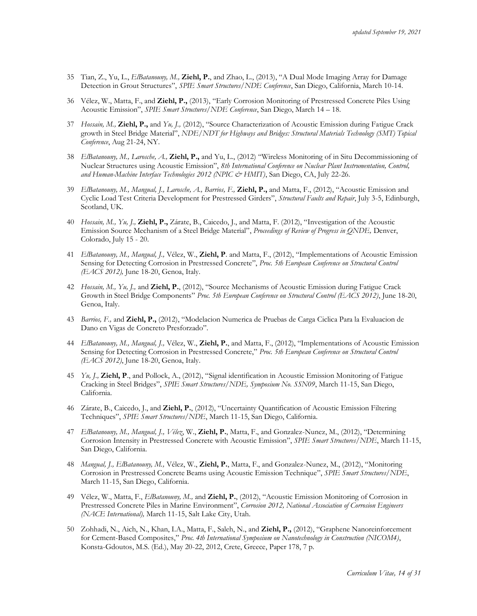- 35 Tian, Z., Yu, L., *ElBatanouny, M.,* **Ziehl, P.**, and Zhao, L., (2013), "A Dual Mode Imaging Array for Damage Detection in Grout Structures", *SPIE Smart Structures/NDE Conference*, San Diego, California, March 10-14.
- 36 Vélez, W., Matta, F., and **Ziehl, P.,** (2013), "Early Corrosion Monitoring of Prestressed Concrete Piles Using Acoustic Emission", *SPIE Smart Structures/NDE Conference*, San Diego, March 14 – 18.
- 37 *Hossain, M.,* **Ziehl, P.,** and *Yu, J.,* (2012), "Source Characterization of Acoustic Emission during Fatigue Crack growth in Steel Bridge Material", *NDE/NDT for Highways and Bridges: Structural Materials Technology (SMT) Topical Conference*, Aug 21-24, NY.
- 38 *ElBatanouny, M., Larosche, A.,* **Ziehl, P.,** and Yu, L., (2012) "Wireless Monitoring of in Situ Decommissioning of Nuclear Structures using Acoustic Emission", *8th International Conference on Nuclear Plant Instrumentation, Control, and Human-Machine Interface Technologies 2012 (NPIC & HMIT)*, San Diego, CA, July 22-26.
- 39 *ElBatanouny, M., Mangual, J., Larosche, A., Barrios, F.,* **Ziehl, P.,** and Matta, F., (2012), "Acoustic Emission and Cyclic Load Test Criteria Development for Prestressed Girders", *Structural Faults and Repair*, July 3-5, Edinburgh, Scotland, UK.
- 40 *Hossain, M., Yu, J.,* **Ziehl, P.,** Zárate, B., Caicedo, J., and Matta, F. (2012), "Investigation of the Acoustic Emission Source Mechanism of a Steel Bridge Material", *Proceedings of Review of Progress in QNDE,* Denver, Colorado, July 15 - 20.
- 41 *ElBatanouny, M., Mangual, J.,* Vélez, W., **Ziehl, P**. and Matta, F., (2012), "Implementations of Acoustic Emission Sensing for Detecting Corrosion in Prestressed Concrete", *Proc. 5th European Conference on Structural Control (EACS 2012),* June 18-20, Genoa, Italy.
- 42 *Hossain, M., Yu, J.,* and **Ziehl, P.**, (2012), "Source Mechanisms of Acoustic Emission during Fatigue Crack Growth in Steel Bridge Components" *Proc. 5th European Conference on Structural Control (EACS 2012)*, June 18-20, Genoa, Italy.
- 43 *Barrios, F.,* and **Ziehl, P.,** (2012), "Modelacion Numerica de Pruebas de Carga Ciclica Para la Evaluacion de Dano en Vigas de Concreto Presforzado".
- 44 *ElBatanouny, M., Mangual, J.,* Vélez, W., **Ziehl, P.**, and Matta, F., (2012), "Implementations of Acoustic Emission Sensing for Detecting Corrosion in Prestressed Concrete," *Proc. 5th European Conference on Structural Control (EACS 2012)*, June 18-20, Genoa, Italy.
- 45 *Yu, J.,* **Ziehl, P**., and Pollock, A., (2012), "Signal identification in Acoustic Emission Monitoring of Fatigue Cracking in Steel Bridges", *SPIE Smart Structures/NDE, Symposium No. SSN09*, March 11-15, San Diego, California.
- 46 Zárate, B., Caicedo, J., and **Ziehl, P.**, (2012), "Uncertainty Quantification of Acoustic Emission Filtering Techniques", *SPIE Smart Structures/NDE*, March 11-15, San Diego, California.
- 47 *ElBatanouny, M., Mangual, J., Vélez*, W., **Ziehl, P.**, Matta, F., and Gonzalez-Nunez, M., (2012), "Determining Corrosion Intensity in Prestressed Concrete with Acoustic Emission", *SPIE Smart Structures/NDE*, March 11-15, San Diego, California.
- 48 *Mangual, J., ElBatanouny, M.,* Vélez, W., **Ziehl, P.**, Matta, F., and Gonzalez-Nunez, M., (2012), "Monitoring Corrosion in Prestressed Concrete Beams using Acoustic Emission Technique", *SPIE Smart Structures/NDE*, March 11-15, San Diego, California.
- 49 Vélez, W., Matta, F., *ElBatanouny, M.,* and **Ziehl, P.**, (2012), "Acoustic Emission Monitoring of Corrosion in Prestressed Concrete Piles in Marine Environment", *Corrosion 2012, National Association of Corrosion Engineers (NACE International),* March 11-15, Salt Lake City, Utah.
- 50 Zohhadi, N., Aich, N., Khan, I.A., Matta, F., Saleh, N., and **Ziehl, P.,** (2012), "Graphene Nanoreinforcement for Cement-Based Composites," *Proc. 4th International Symposium on Nanotechnology in Construction (NICOM4)*, Konsta-Gdoutos, M.S. (Ed.), May 20-22, 2012, Crete, Greece, Paper 178, 7 p.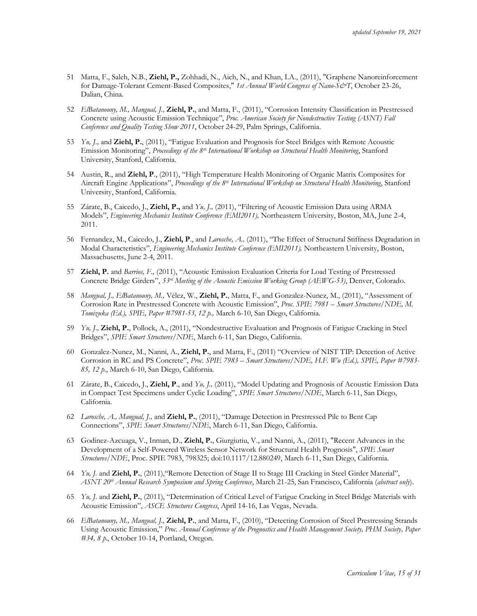- 51 Matta, F., Saleh, N.B., **Ziehl, P.,** Zohhadi, N., Aich, N., and Khan, I.A., (2011), "Graphene Nanoreinforcement for Damage-Tolerant Cement-Based Composites," *1st Annual World Congress of Nano-S&T*, October 23-26, Dalian, China.
- 52 *ElBatanouny, M., Mangual, J.,* **Ziehl, P.**, and Matta, F., (2011), "Corrosion Intensity Classification in Prestressed Concrete using Acoustic Emission Technique", *Proc. American Society for Nondestructive Testing (ASNT) Fall Conference and Quality Testing Show 2011*, October 24-29, Palm Springs, California.
- 53 *Yu, J.,* and **Ziehl, P.**, (2011), "Fatigue Evaluation and Prognosis for Steel Bridges with Remote Acoustic Emission Monitoring", *Proceedings of the 8th International Workshop on Structural Health Monitoring*, Stanford University, Stanford, California.
- 54 Austin, R., and **Ziehl, P**., (2011), "High Temperature Health Monitoring of Organic Matrix Composites for Aircraft Engine Applications", *Proceedings of the 8 th International Workshop on Structural Health Monitoring*, Stanford University, Stanford, California.
- 55 Zárate, B., Caicedo, J., **Ziehl, P.,** and *Yu, J.,* (2011), "Filtering of Acoustic Emission Data using ARMA Models", *Engineering Mechanics Institute Conference (EMI2011),* Northeastern University, Boston, MA, June 2-4, 2011.
- 56 Fernandez, M., Caicedo, J., **Ziehl, P**., and *Larosche, A.,* (2011), "The Effect of Structural Stiffness Degradation in Modal Characteristics", *Engineering Mechanics Institute Conference (EMI2011),* Northeastern University, Boston, Massachusetts, June 2-4, 2011.
- 57 **Ziehl, P.** and *Barrios, F.,* (2011), "Acoustic Emission Evaluation Criteria for Load Testing of Prestressed Concrete Bridge Girders", *53rd Meeting of the Acoustic Emission Working Group (AEWG-53)*, Denver, Colorado.
- 58 *Mangual, J., ElBatanouny, M.,* Vélez, W., **Ziehl, P.**, Matta, F., and Gonzalez-Nunez, M., (2011), "Assessment of Corrosion Rate in Prestressed Concrete with Acoustic Emission", *Proc. SPIE 7981 – Smart Structures/NDE, M. Tomizuka (Ed.), SPIE, Paper #7981-53, 12 p.,* March 6-10, San Diego, California.
- 59 *Yu, J.,* **Ziehl, P.**, Pollock, A., (2011), "Nondestructive Evaluation and Prognosis of Fatigue Cracking in Steel Bridges", *SPIE Smart Structures/NDE*, March 6-11, San Diego, California.
- 60 Gonzalez-Nunez, M., Nanni, A., **Ziehl, P.**, and Matta, F., (2011) "Overview of NIST TIP: Detection of Active Corrosion in RC and PS Concrete", *Proc. SPIE 7983 – Smart Structures/NDE, H.F. Wu (Ed.), SPIE, Paper #7983- 85, 12 p*., March 6-10, San Diego, California.
- 61 Zárate, B., Caicedo, J., **Ziehl, P**., and *Yu, J.,* (2011), "Model Updating and Prognosis of Acoustic Emission Data in Compact Test Specimens under Cyclic Loading", *SPIE Smart Structures/NDE*, March 6-11, San Diego, California.
- 62 *Larosche, A., Mangual, J.,* and **Ziehl, P.**, (2011), "Damage Detection in Prestressed Pile to Bent Cap Connections", *SPIE Smart Structures/NDE*, March 6-11, San Diego, California.
- 63 Godinez-Azcuaga, V., Inman, D., **Ziehl, P.**, Giurgiutiu, V., and Nanni, A., (2011), "Recent Advances in the Development of a Self-Powered Wireless Sensor Network for Structural Health Prognosis", *SPIE Smart Structures/NDE*, Proc. SPIE 7983, 798325; doi:10.1117/12.880249, March 6-11, San Diego, California.
- 64 *Yu, J.* and **Ziehl, P.**, (2011),"Remote Detection of Stage II to Stage III Cracking in Steel Girder Material", *ASNT 20th Annual Research Symposium and Spring Conference*, March 21-25, San Francisco, California (*abstract only*).
- 65 *Yu, J.* and **Ziehl, P.**, (2011), "Determination of Critical Level of Fatigue Cracking in Steel Bridge Materials with Acoustic Emission", *ASCE Structures Congress*, April 14-16, Las Vegas, Nevada.
- 66 *ElBatanouny, M., Mangual, J.,* **Ziehl, P.**, and Matta, F., (2010), "Detecting Corrosion of Steel Prestressing Strands Using Acoustic Emission," *Proc. Annual Conference of the Prognostics and Health Management Society, PHM Society, Paper #34, 8 p*., October 10-14, Portland, Oregon.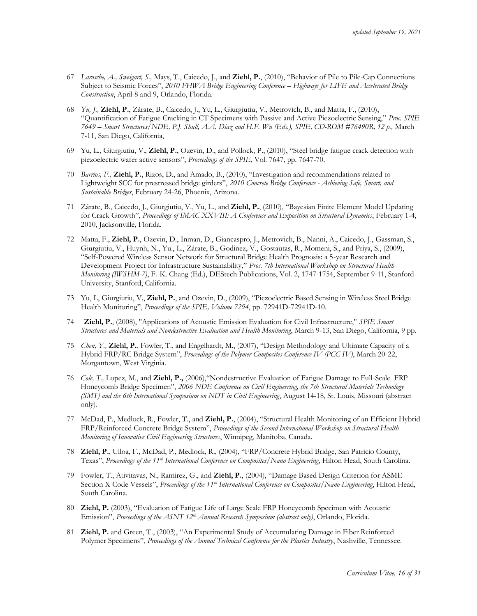- 67 *Larosche, A., Sweigart, S.,* Mays, T., Caicedo, J., and **Ziehl, P.**, (2010), "Behavior of Pile to Pile-Cap Connections Subject to Seismic Forces", *2010 FHWA Bridge Engineering Conference – Highways for LIFE and Accelerated Bridge Construction*, April 8 and 9, Orlando, Florida.
- 68 *Yu, J.,* **Ziehl, P.**, Zárate, B., Caicedo, J., Yu, L., Giurgiutiu, V., Metrovich, B., and Matta, F., (2010), "Quantification of Fatigue Cracking in CT Specimens with Passive and Active Piezoelectric Sensing," *Proc. SPIE 7649 – Smart Structures/NDE, P.J. Shull, A.A. Diaz and H.F. Wu (Eds.), SPIE, CD-ROM #76490R, 12 p.,* March 7-11, San Diego, California,
- 69 Yu, L., Giurgiutiu, V., **Ziehl, P.**, Ozevin, D., and Pollock, P., (2010), "Steel bridge fatigue crack detection with piezoelectric wafer active sensors", *Proceedings of the SPIE*, Vol. 7647, pp. 7647-70.
- 70 *Barrios, F.,* **Ziehl, P.**, Rizos, D., and Amado, B., (2010), "Investigation and recommendations related to Lightweight SCC for prestressed bridge girders", *2010 Concrete Bridge Conference - Achieving Safe, Smart, and Sustainable Bridges*, February 24-26, Phoenix, Arizona.
- 71 Zárate, B., Caicedo, J., Giurgiutiu, V., Yu, L., and **Ziehl, P.**, (2010), "Bayesian Finite Element Model Updating for Crack Growth", *Proceedings of IMAC XXVIII: A Conference and Exposition on Structural Dynamics*, February 1-4, 2010, Jacksonville, Florida.
- 72 Matta, F., **Ziehl, P.**, Ozevin, D., Inman, D., Giancaspro, J., Metrovich, B., Nanni, A., Caicedo, J., Gassman, S., Giurgiutiu, V., Huynh, N., Yu., L., Zárate, B., Godinez, V., Gostautas, R., Momeni, S., and Priya, S., (2009), "Self-Powered Wireless Sensor Network for Structural Bridge Health Prognosis: a 5-year Research and Development Project for Infrastructure Sustainability," *Proc. 7th International Workshop on Structural Health Monitoring (IWSHM-7)*, F.-K. Chang (Ed.), DEStech Publications, Vol. 2, 1747-1754, September 9-11, Stanford University, Stanford, California.
- 73 Yu, L, Giurgiutiu, V., **Ziehl, P.**, and Ozevin, D., (2009), "Piezoelectric Based Sensing in Wireless Steel Bridge Health Monitoring", *Proceedings of the SPIE, Volume 7294*, pp. 72941D-72941D-10.
- 74 **Ziehl, P.**, (2008), "Applications of Acoustic Emission Evaluation for Civil Infrastructure," *SPIE Smart Structures and Materials and Nondestructive Evaluation and Health Monitoring*, March 9-13, San Diego, California, 9 pp.
- 75 *Chen, Y.,* **Ziehl, P.**, Fowler, T., and Engelhardt, M., (2007), "Design Methodology and Ultimate Capacity of a Hybrid FRP/RC Bridge System", *Proceedings of the Polymer Composites Conference IV (PCC IV)*, March 20-22, Morgantown, West Virginia.
- 76 *Cole, T.,* Lopez, M., and **Ziehl, P.,** (2006),"Nondestructive Evaluation of Fatigue Damage to Full-Scale FRP Honeycomb Bridge Specimen", *2006 NDE Conference on Civil Engineering, the 7th Structural Materials Technology (SMT) and the 6th International Symposium on NDT in Civil Engineering*, August 14-18, St. Louis, Missouri (abstract only).
- 77 McDad, P., Medlock, R., Fowler, T., and **Ziehl, P.**, (2004), "Structural Health Monitoring of an Efficient Hybrid FRP/Reinforced Concrete Bridge System", *Proceedings of the Second International Workshop on Structural Health Monitoring of Innovative Civil Engineering Structures*, Winnipeg, Manitoba, Canada.
- 78 **Ziehl, P.**, Ulloa, F., McDad, P., Medlock, R., (2004), "FRP/Concrete Hybrid Bridge, San Patricio County, Texas", *Proceedings of the 11th International Conference on Composites/Nano Engineering*, Hilton Head, South Carolina.
- 79 Fowler, T., Ativitavas, N., Ramirez, G., and **Ziehl, P.**, (2004), "Damage Based Design Criterion for ASME Section X Code Vessels", *Proceedings of the 11th International Conference on Composites/Nano Engineering*, Hilton Head, South Carolina.
- 80 **Ziehl, P.** (2003), "Evaluation of Fatigue Life of Large Scale FRP Honeycomb Specimen with Acoustic Emission", *Proceedings of the ASNT 12th Annual Research Symposium (abstract only)*, Orlando, Florida.
- 81 **Ziehl, P.** and Green, T., (2003), "An Experimental Study of Accumulating Damage in Fiber Reinforced Polymer Specimens", *Proceedings of the Annual Technical Conference for the Plastics Industry*, Nashville, Tennessee.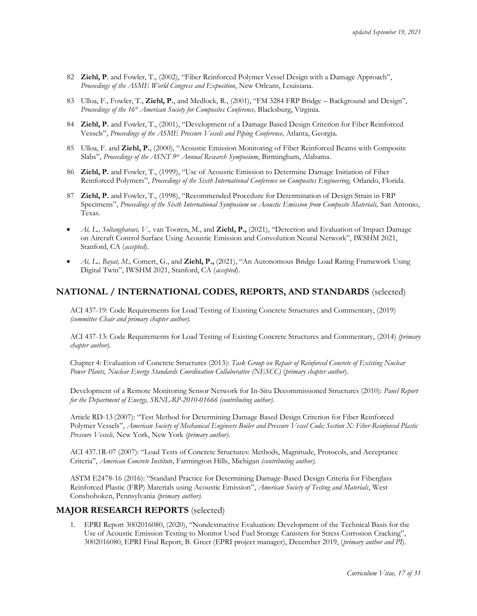- 82 **Ziehl, P**. and Fowler, T., (2002), "Fiber Reinforced Polymer Vessel Design with a Damage Approach", *Proceedings of the ASME World Congress and Exposition*, New Orleans, Louisiana.
- 83 Ulloa, F., Fowler, T., **Ziehl, P.**, and Medlock, R., (2001), "FM 3284 FRP Bridge Background and Design", *Proceedings of the 16th American Society for Composites Conference,* Blacksburg, Virginia.
- 84 **Ziehl, P.** and Fowler, T., (2001), "Development of a Damage Based Design Criterion for Fiber Reinforced Vessels", *Proceedings of the ASME Pressure Vessels and Piping Conference,* Atlanta, Georgia.
- 85 Ulloa, F. and **Ziehl, P.**, (2000), "Acoustic Emission Monitoring of Fiber Reinforced Beams with Composite Slabs", *Proceedings of the ASNT 9th Annual Research Symposium*, Birmingham, Alabama.
- 86 **Ziehl, P.** and Fowler, T., (1999), "Use of Acoustic Emission to Determine Damage Initiation of Fiber Reinforced Polymers", *Proceedings of the Sixth International Conference on Composites Engineering,* Orlando, Florida.
- 87 **Ziehl, P.** and Fowler, T., (1998), "Recommended Procedure for Determination of Design Strain in FRP Specimens", *Proceedings of the Sixth International Symposium on Acoustic Emission from Composite Materials,* San Antonio, Texas.
- *Ai, L., Soltangharaei, V.,* van Tooren, M., and **Ziehl, P.,** (2021), "Detection and Evaluation of Impact Damage on Aircraft Control Surface Using Acoustic Emission and Convolution Neural Network", IWSHM 2021, Stanford, CA (*accepted*).
- *Ai, L., Bayat, M.,* Comert, G., and **Ziehl, P.,** (2021), "An Autonomous Bridge Load Rating Framework Using Digital Twin", IWSHM 2021, Stanford, CA (*accepted*).

# **NATIONAL / INTERNATIONAL CODES, REPORTS, AND STANDARDS** (selected)

ACI 437-19: Code Requirements for Load Testing of Existing Concrete Structures and Commentary, (2019) *(committee Chair and primary chapter author).*

ACI 437-13: Code Requirements for Load Testing of Existing Concrete Structures and Commentary, (2014) *(primary chapter author).*

Chapter 4: Evaluation of Concrete Structures (2013): *Task Group on Repair of Reinforced Concrete of Existing Nuclear Power Plants, Nuclear Energy Standards Coordination Collaborative (NESCC)* (*primary chapter author*).

Development of a Remote Monitoring Sensor Network for In-Situ Decommissioned Structures (2010): *Panel Report for the Department of Energy, SRNL-RP-2010-01666 (contributing author).*

Article RD-13 (2007): "Test Method for Determining Damage Based Design Criterion for Fiber Reinforced Polymer Vessels", *American Society of Mechanical Engineers Boiler and Pressure Vessel Code; Section X: Fiber-Reinforced Plastic Pressure Vessels,* New York, New York *(primary author).*

ACI 437.1R-07 (2007): "Load Tests of Concrete Structures: Methods, Magnitude, Protocols, and Acceptance Criteria", *American Concrete Institute*, Farmington Hills, Michigan *(contributing author).*

ASTM E2478-16 (2016): "Standard Practice for Determining Damage-Based Design Criteria for Fiberglass Reinforced Plastic (FRP) Materials using Acoustic Emission", *American Society of Testing and Materials*, West Conshohoken, Pennsylvania *(primary author).*

### **MAJOR RESEARCH REPORTS** (selected)

1. EPRI Report 3002016080, (2020), "Nondestructive Evaluation: Development of the Technical Basis for the Use of Acoustic Emission Testing to Monitor Used Fuel Storage Canisters for Stress Corrosion Cracking", 3002016080, EPRI Final Report, B. Greer (EPRI project manager), December 2019, (*primary author and PI*).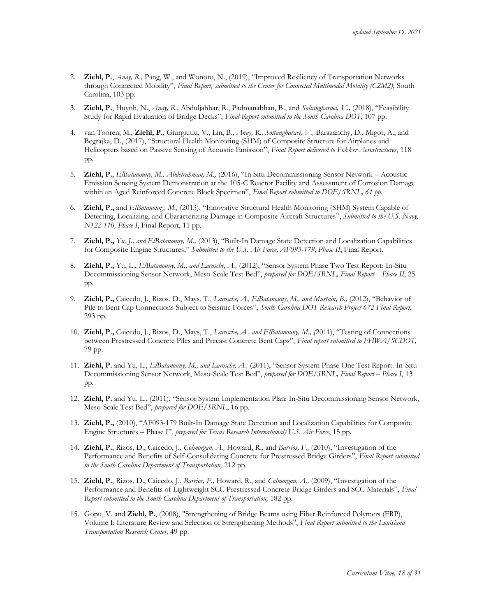- 2. **Ziehl, P.**, *Anay, R.,* Pang, W., and Wonoto, N., (2019), "Improved Resiliency of Transportation Networks through Connected Mobility", *Final Report, submitted to the Center for Connected Multimodal Mobility (C2M2),* South Carolina, 103 pp.
- 3. **Ziehl, P.**, Huynh, N., *Anay, R.,* Abduljabbar, R., Padmanabhan, B., and *Soltangharaei, V.,* (2018), "Feasibility Study for Rapid Evaluation of Bridge Decks", *Final Report submitted to the South Carolina DOT*, 107 pp.
- 4. van Tooren, M., **Ziehl, P.**, Giurgiutiu, V., Lin, B., *Anay, R., Soltangharaei, V.,* Barazanchy, D., Migot, A., and Begrajka, D., (2017), "Structural Health Monitoring (SHM) of Composite Structure for Airplanes and Helicopters based on Passive Sensing of Acoustic Emission", *Final Report delivered to Fokker Aerostructures*, 118 pp.
- 5. **Ziehl, P.**, *ElBatanouny, M., Abdelrahman, M.,* (2016), "In Situ Decommissioning Sensor Network Acoustic Emission Sensing System Demonstration at the 105-C Reactor Facility and Assessment of Corrosion Damage within an Aged Reinforced Concrete Block Specimen", *Final Report submitted to DOE/SRNL, 61 pp.*
- 6. **Ziehl, P.,** and *ElBatanouny, M.,* (2013), "Innovative Structural Health Monitoring (SHM) System Capable of Detecting, Localizing, and Characterizing Damage in Composite Aircraft Structures", *Submitted to the U.S. Navy, N122-110, Phase I*, Final Report, 11 pp.
- 7. **Ziehl, P.,** *Yu, J., and ElBatanouny, M.,* (2013), "Built-In Damage State Detection and Localization Capabilities for Composite Engine Structures," *Submitted to the U.S. Air Force, AF093-179*, *Phase II*, Final Report.
- 8. **Ziehl, P.,** Yu, L., *ElBatanouny, M., and Larosche, A.,* (2012), "Sensor System Phase Two Test Report: In-Situ Decommissioning Sensor Network, Meso-Scale Test Bed", *prepared for DOE/SRNL, Final Report – Phase II*, 25 pp.
- 9. **Ziehl, P.,** Caicedo, J., Rizos, D., Mays, T., *Larosche, A., ElBatanouny, M., and Mustain, B.,* (2012), "Behavior of Pile to Bent Cap Connections Subject to Seismic Forces", *South Carolina DOT Research Project 672 Final Report*, 293 pp.
- 10. **Ziehl, P.,** Caicedo, J., Rizos, D., Mays, T., *Larosche, A., and ElBatanouny, M., (*2011), "Testing of Connections between Prestressed Concrete Piles and Precast Concrete Bent Caps", *Final report submitted to FHWA/SCDOT,* 79 pp.
- 11. **Ziehl, P.** and Yu, L., *ElBatanouny, M., and Larosche, A.,* (2011), "Sensor System Phase One Test Report: In-Situ Decommissioning Sensor Network, Meso-Scale Test Bed", *prepared for DOE/SRNL, Final Report – Phase I*, 13 pp.
- 12. **Ziehl, P.** and Yu, L., (2011), "Sensor System Implementation Plan: In-Situ Decommissioning Sensor Network, Meso-Scale Test Bed", *prepared for DOE/SRNL*, 16 pp.
- 13. **Ziehl, P.,** (2010), "AF093-179 Built-In Damage State Detection and Localization Capabilities for Composite Engine Structures – Phase I", *prepared for Texas Research International/U.S. Air Force*, 15 pp.
- 14. **Ziehl, P.**, Rizos, D., Caicedo, J., *Colmorgan, A.,* Howard, R., and *Barrios, F.,* (2010), "Investigation of the Performance and Benefits of Self-Consolidating Concrete for Prestressed Bridge Girders", *Final Report submitted to the South Carolina Department of Transportation,* 212 pp.
- 15. **Ziehl, P.**, Rizos, D., Caicedo, J., *Barrios, F.,* Howard, R., and *Colmorgan, A.,* (2009), "Investigation of the Performance and Benefits of Lightweight SCC Prestressed Concrete Bridge Girders and SCC Materials", *Final Report submitted to the South Carolina Department of Transportation,* 182 pp.
- 15. Gopu, V. and **Ziehl, P.**, (2008), "Strengthening of Bridge Beams using Fiber Reinforced Polymers (FRP), Volume I: Literature Review and Selection of Strengthening Methods", *Final Report submitted to the Louisiana Transportation Research Center*, 49 pp.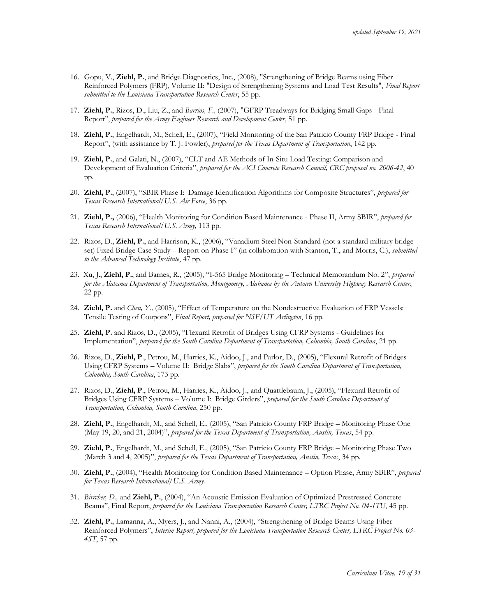- 16. Gopu, V., **Ziehl, P.**, and Bridge Diagnostics, Inc., (2008), "Strengthening of Bridge Beams using Fiber Reinforced Polymers (FRP), Volume II: "Design of Strengthening Systems and Load Test Results", *Final Report submitted to the Louisiana Transportation Research Center*, 55 pp.
- 17. **Ziehl, P.**, Rizos, D., Liu, Z., and *Barrios, F.,* (2007), "GFRP Treadways for Bridging Small Gaps Final Report", *prepared for the Army Engineer Research and Development Center*, 51 pp.
- 18. **Ziehl, P.**, Engelhardt, M., Schell, E., (2007), "Field Monitoring of the San Patricio County FRP Bridge Final Report", (with assistance by T. J. Fowler), *prepared for the Texas Department of Transportation*, 142 pp.
- 19. **Ziehl, P.**, and Galati, N., (2007), "CLT and AE Methods of In-Situ Load Testing: Comparison and Development of Evaluation Criteria", *prepared for the ACI Concrete Research Council, CRC proposal no. 2006-42*, 40 pp.
- 20. **Ziehl, P.**, (2007), "SBIR Phase I: Damage Identification Algorithms for Composite Structures", *prepared for Texas Research International/U.S. Air Force*, 36 pp.
- 21. **Ziehl, P.,** (2006), "Health Monitoring for Condition Based Maintenance Phase II, Army SBIR", *prepared for Texas Research International/U.S. Army,* 113 pp.
- 22. Rizos, D., **Ziehl, P.**, and Harrison, K., (2006), "Vanadium Steel Non-Standard (not a standard military bridge set) Fixed Bridge Case Study – Report on Phase I" (in collaboration with Stanton, T., and Morris, C.), *submitted to the Advanced Technology Institute*, 47 pp.
- 23. Xu, J., **Ziehl, P.**, and Barnes, R., (2005), "I-565 Bridge Monitoring Technical Memorandum No. 2", *prepared for the Alabama Department of Transportation, Montgomery, Alabama by the Auburn University Highway Research Center*, 22 pp.
- 24. **Ziehl, P.** and *Chen, Y.,* (2005), "Effect of Temperature on the Nondestructive Evaluation of FRP Vessels: Tensile Testing of Coupons", *Final Report, prepared for NSF/UT Arlington*, 16 pp.
- 25. **Ziehl, P.** and Rizos, D., (2005), "Flexural Retrofit of Bridges Using CFRP Systems Guidelines for Implementation", *prepared for the South Carolina Department of Transportation, Columbia, South Carolina*, 21 pp.
- 26. Rizos, D., **Ziehl, P**., Petrou, M., Harries, K., Aidoo, J., and Parlor, D., (2005), "Flexural Retrofit of Bridges Using CFRP Systems – Volume II: Bridge Slabs", *prepared for the South Carolina Department of Transportation, Columbia, South Carolina*, 173 pp.
- 27. Rizos, D., **Ziehl, P**., Petrou, M., Harries, K., Aidoo, J., and Quattlebaum, J., (2005), "Flexural Retrofit of Bridges Using CFRP Systems – Volume I: Bridge Girders", *prepared for the South Carolina Department of Transportation, Columbia, South Carolina*, 250 pp.
- 28. **Ziehl, P.**, Engelhardt, M., and Schell, E., (2005), "San Patricio County FRP Bridge Monitoring Phase One (May 19, 20, and 21, 2004)", *prepared for the Texas Department of Transportation, Austin, Texas*, 54 pp.
- 29. **Ziehl, P.**, Engelhardt, M., and Schell, E., (2005), "San Patricio County FRP Bridge Monitoring Phase Two (March 3 and 4, 2005)", *prepared for the Texas Department of Transportation, Austin, Texas*, 34 pp.
- 30. **Ziehl, P.**, (2004), "Health Monitoring for Condition Based Maintenance Option Phase, Army SBIR", *prepared for Texas Research International/U.S. Army.*
- 31. *Birrcher, D.,* and **Ziehl, P.**, (2004), "An Acoustic Emission Evaluation of Optimized Prestressed Concrete Beams", Final Report, *prepared for the Louisiana Transportation Research Center, LTRC Project No. 04-1TU*, 45 pp.
- 32. **Ziehl, P.**, Lamanna, A., Myers, J., and Nanni, A., (2004), "Strengthening of Bridge Beams Using Fiber Reinforced Polymers", *Interim Report, prepared for the Louisiana Transportation Research Center, LTRC Project No. 03- 4ST*, 57 pp.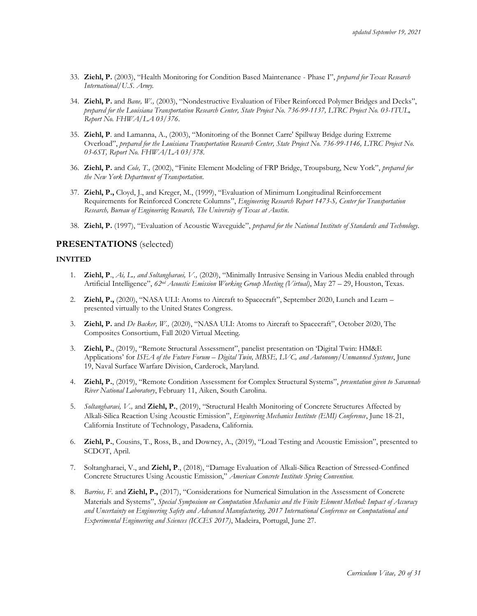- 33. **Ziehl, P.** (2003), "Health Monitoring for Condition Based Maintenance Phase I", *prepared for Texas Research International/U.S. Army.*
- 34. **Ziehl, P.** and *Bane, W.,* (2003), "Nondestructive Evaluation of Fiber Reinforced Polymer Bridges and Decks", *prepared for the Louisiana Transportation Research Center, State Project No. 736-99-1137, LTRC Project No. 03-1TUL, Report No. FHWA/LA 03/376*.
- 35. **Ziehl, P**. and Lamanna, A., (2003), "Monitoring of the Bonnet Carre' Spillway Bridge during Extreme Overload", *prepared for the Louisiana Transportation Research Center, State Project No. 736-99-1146, LTRC Project No. 03-6ST, Report No. FHWA/LA 03/378.*
- 36. **Ziehl, P.** and *Cole, T.,* (2002), "Finite Element Modeling of FRP Bridge, Troupsburg, New York", *prepared for the New York Department of Transportation*.
- 37. **Ziehl, P.,** Cloyd, J., and Kreger, M., (1999), "Evaluation of Minimum Longitudinal Reinforcement Requirements for Reinforced Concrete Columns", *Engineering Research Report 1473-S, Center for Transportation Research, Bureau of Engineering Research, The University of Texas at Austin*.
- 38. **Ziehl, P.** (1997), "Evaluation of Acoustic Waveguide", *prepared for the National Institute of Standards and Technology*.

## **PRESENTATIONS** (selected)

#### **INVITED**

- 1. **Ziehl, P**., *Ai, L., and Soltangharaei, V.,* (2020), "Minimally Intrusive Sensing in Various Media enabled through Artificial Intelligence", *62nd Acoustic Emission Working Group Meeting (Virtual)*, May 27 – 29, Houston, Texas.
- 2. **Ziehl, P.,** (2020), "NASA ULI: Atoms to Aircraft to Spacecraft", September 2020, Lunch and Learn presented virtually to the United States Congress.
- 3. **Ziehl, P.** and *De Backer, W.,* (2020), "NASA ULI: Atoms to Aircraft to Spacecraft", October 2020, The Composites Consortium, Fall 2020 Virtual Meeting.
- 3. **Ziehl, P.**, (2019), "Remote Structural Assessment", panelist presentation on 'Digital Twin: HM&E Applications' for *ISEA of the Future Forum – Digital Twin, MBSE, LVC, and Autonomy/Unmanned Systems*, June 19, Naval Surface Warfare Division, Carderock, Maryland.
- 4. **Ziehl, P.**, (2019), "Remote Condition Assessment for Complex Structural Systems", *presentation given to Savannah River National Laboratory*, February 11, Aiken, South Carolina.
- 5. *Soltangharaei, V.,* and **Ziehl, P.**, (2019), "Structural Health Monitoring of Concrete Structures Affected by Alkali-Silica Reaction Using Acoustic Emission", *Engineering Mechanics Institute (EMI) Conference*, June 18-21, California Institute of Technology, Pasadena, California.
- 6. **Ziehl, P.**, Cousins, T., Ross, B., and Downey, A., (2019), "Load Testing and Acoustic Emission", presented to SCDOT, April.
- 7. Soltangharaei, V., and **Ziehl, P**., (2018), "Damage Evaluation of Alkali-Silica Reaction of Stressed-Confined Concrete Structures Using Acoustic Emission," *American Concrete Institute Spring Convention.*
- 8. *Barrios, F.* and **Ziehl, P.,** (2017), "Considerations for Numerical Simulation in the Assessment of Concrete Materials and Systems", *Special Symposium on Computation Mechanics and the Finite Element Method: Impact of Accuracy and Uncertainty on Engineering Safety and Advanced Manufacturing, 2017 International Conference on Computational and Experimental Engineering and Sciences (ICCES 2017)*, Madeira, Portugal, June 27.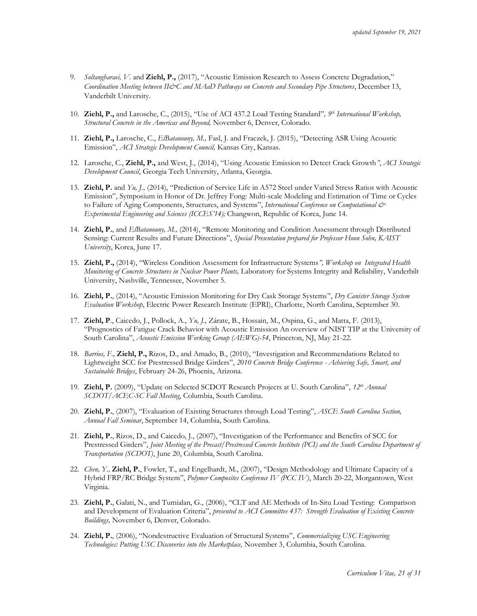- 9. *Soltangharaei, V.* and **Ziehl, P.,** (2017), "Acoustic Emission Research to Assess Concrete Degradation," *Coordination Meeting between II&C and MAaD Pathways on Concrete and Secondary Pipe Structures*, December 13, Vanderbilt University.
- 10. **Ziehl, P.,** and Larosche, C., (2015), "Use of ACI 437.2 Load Testing Standard"*, 9 th International Workshop, Structural Concrete in the Americas and Beyond,* November 6, Denver, Colorado.
- 11. **Ziehl, P.,** Larosche, C., *ElBatanouny, M.,* Fasl, J. and Fraczek, J. (2015), "Detecting ASR Using Acoustic Emission", *ACI Strategic Development Council,* Kansas City, Kansas.
- 12. Larosche, C., **Ziehl, P.,** and West, J., (2014), "Using Acoustic Emission to Detect Crack Growth*"*, *ACI Strategic Development Council*, Georgia Tech University, Atlanta, Georgia.
- 13. **Ziehl, P.** and *Yu, J.,* (2014), "Prediction of Service Life in A572 Steel under Varied Stress Ratios with Acoustic Emission", Symposium in Honor of Dr. Jeffrey Fong: Multi-scale Modeling and Estimation of Time or Cycles to Failure of Aging Components, Structures, and Systems", *International Conference on Computational & Experimental Engineering and Sciences (ICCES'14);* Changwon, Republic of Korea, June 14.
- 14. **Ziehl, P.**, and *ElBatanouny, M.,* (2014), "Remote Monitoring and Condition Assessment through Distributed Sensing: Current Results and Future Directions", *Special Presentation prepared for Professor Hoon Sohn, KAIST University*, Korea, June 17.
- 15. **Ziehl, P.,** (2014), "Wireless Condition Assessment for Infrastructure Systems*", Workshop on Integrated Health Monitoring of Concrete Structures in Nuclear Power Plants,* Laboratory for Systems Integrity and Reliability, Vanderbilt University, Nashville, Tennessee, November 5.
- 16. **Ziehl, P.**, (2014), "Acoustic Emission Monitoring for Dry Cask Storage Systems", *Dry Canister Storage System Evaluation Workshop*, Electric Power Research Institute (EPRI), Charlotte, North Carolina, September 30.
- 17. **Ziehl, P**., Caicedo, J., Pollock, A., *Yu, J.,* Zárate, B., Hossain, M., Ospina, G., and Matta, F. (2013), "Prognostics of Fatigue Crack Behavior with Acoustic Emission An overview of NIST TIP at the University of South Carolina", *Acoustic Emission Working Group (AEWG)-54*, Princeton, NJ, May 21-22.
- 18. *Barrios, F.,* **Ziehl, P.,** Rizos, D., and Amado, B., (2010), "Investigation and Recommendations Related to Lightweight SCC for Prestressed Bridge Girders", *2010 Concrete Bridge Conference - Achieving Safe, Smart, and Sustainable Bridges*, February 24-26, Phoenix, Arizona.
- 19. **Ziehl, P.** (2009), "Update on Selected SCDOT Research Projects at U. South Carolina", *12th Annual SCDOT/ACEC-SC Fall Meeting*, Columbia, South Carolina.
- 20. **Ziehl, P.**, (2007), "Evaluation of Existing Structures through Load Testing", *ASCE South Carolina Section, Annual Fall Seminar*, September 14, Columbia, South Carolina.
- 21. **Ziehl, P.**, Rizos, D., and Caicedo, J., (2007), "Investigation of the Performance and Benefits of SCC for Prestressed Girders", *Joint Meeting of the Precast/Prestressed Concrete Institute (PCI) and the South Carolina Department of Transportation (SCDOT)*, June 20, Columbia, South Carolina.
- 22. *Chen, Y.,* **Ziehl, P.**, Fowler, T., and Engelhardt, M., (2007), "Design Methodology and Ultimate Capacity of a Hybrid FRP/RC Bridge System", *Polymer Composites Conference IV (PCC IV)*, March 20-22, Morgantown, West Virginia.
- 23. **Ziehl, P.**, Galati, N., and Tumialan, G., (2006), "CLT and AE Methods of In-Situ Load Testing: Comparison and Development of Evaluation Criteria", *presented to ACI Committee 437: Strength Evaluation of Existing Concrete Buildings,* November 6, Denver, Colorado.
- 24. **Ziehl, P.**, (2006), "Nondestructive Evaluation of Structural Systems", *Commercializing USC Engineering Technologies: Putting USC Discoveries into the Marketplace,* November 3, Columbia, South Carolina.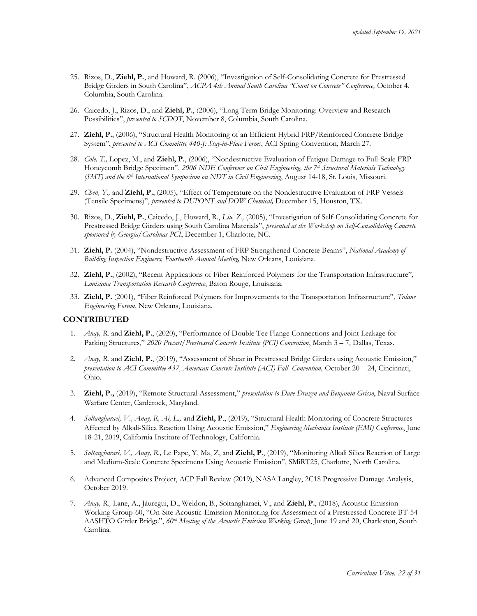- 25. Rizos, D., **Ziehl, P.**, and Howard, R. (2006), "Investigation of Self-Consolidating Concrete for Prestressed Bridge Girders in South Carolina", *ACPA 4th Annual South Carolina "Count on Concrete" Conference,* October 4, Columbia, South Carolina.
- 26. Caicedo, J., Rizos, D., and **Ziehl, P.**, (2006), "Long Term Bridge Monitoring: Overview and Research Possibilities", *presented to SCDOT*, November 8, Columbia, South Carolina.
- 27. **Ziehl, P.**, (2006), "Structural Health Monitoring of an Efficient Hybrid FRP/Reinforced Concrete Bridge System", *presented to ACI Committee 440-J: Stay-in-Place Forms*, ACI Spring Convention, March 27.
- 28. *Cole, T.,* Lopez, M., and **Ziehl, P.**, (2006), "Nondestructive Evaluation of Fatigue Damage to Full-Scale FRP Honeycomb Bridge Specimen", *2006 NDE Conference on Civil Engineering, the 7th Structural Materials Technology (SMT) and the 6th International Symposium on NDT in Civil Engineering*, August 14-18, St. Louis, Missouri.
- 29. *Chen, Y.,* and **Ziehl, P.**, (2005), "Effect of Temperature on the Nondestructive Evaluation of FRP Vessels (Tensile Specimens)", *presented to DUPONT and DOW Chemical,* December 15, Houston, TX.
- 30. Rizos, D., **Ziehl, P.**, Caicedo, J., Howard, R., *Liu, Z.,* (2005), "Investigation of Self-Consolidating Concrete for Prestressed Bridge Girders using South Carolina Materials", *presented at the Workshop on Self-Consolidating Concrete sponsored by Georgia/Carolinas PCI*, December 1, Charlotte, NC.
- 31. **Ziehl, P.** (2004), "Nondestructive Assessment of FRP Strengthened Concrete Beams", *National Academy of Building Inspection Engineers, Fourteenth Annual Meeting,* New Orleans, Louisiana.
- 32. **Ziehl, P.**, (2002), "Recent Applications of Fiber Reinforced Polymers for the Transportation Infrastructure", *Louisiana Transportation Research Conference*, Baton Rouge, Louisiana.
- 33. **Ziehl, P.** (2001), "Fiber Reinforced Polymers for Improvements to the Transportation Infrastructure", *Tulane Engineering Forum*, New Orleans, Louisiana.

#### **CONTRIBUTED**

- 1. *Anay, R.* and **Ziehl, P.**, (2020), "Performance of Double Tee Flange Connections and Joint Leakage for Parking Structures," *2020 Precast/Prestressed Concrete Institute (PCI) Convention*, March 3 – 7, Dallas, Texas.
- 2. *Anay, R.* and **Ziehl, P.**, (2019), "Assessment of Shear in Prestressed Bridge Girders using Acoustic Emission," *presentation to ACI Committee 437, American Concrete Institute (ACI) Fall Convention,* October 20 – 24, Cincinnati, Ohio.
- 3. **Ziehl, P.,** (2019), "Remote Structural Assessment," *presentation to Dave Drazen and Benjamin Grisso*, Naval Surface Warfare Center, Carderock, Maryland.
- 4. *Soltangharaei, V., Anay, R, Ai, L.,* and **Ziehl, P**., (2019), "Structural Health Monitoring of Concrete Structures Affected by Alkali-Silica Reaction Using Acoustic Emission," *Engineering Mechanics Institute (EMI) Conference*, June 18-21, 2019, California Institute of Technology, California.
- 5. *Soltangharaei, V., Anay, R.,* Le Pape, Y, Ma, Z, and **Ziehl, P**., (2019), "Monitoring Alkali Silica Reaction of Large and Medium-Scale Concrete Specimens Using Acoustic Emission", SMiRT25, Charlotte, North Carolina.
- 6. Advanced Composites Project, ACP Fall Review (2019), NASA Langley, 2C18 Progressive Damage Analysis, October 2019.
- 7. *Anay, R.,* Lane, A., Jáuregui, D., Weldon, B., Soltangharaei, V., and **Ziehl, P.**, (2018), Acoustic Emission Working Group-60, "On-Site Acoustic-Emission Monitoring for Assessment of a Prestressed Concrete BT-54 AASHTO Girder Bridge", *60th Meeting of the Acoustic Emission Working Group*, June 19 and 20, Charleston, South Carolina.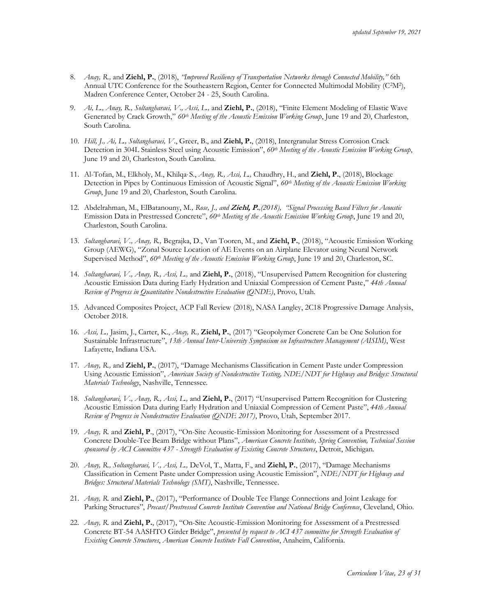- 8. *Anay, R.,* and **Ziehl, P.**, (2018), *"Improved Resiliency of Transportation Networks through Connected Mobility,"* 6th Annual UTC Conference for the Southeastern Region, Center for Connected Multimodal Mobility (C<sup>2</sup>M<sup>2</sup>), Madren Conference Center, October 24 - 25, South Carolina.
- 9. *Ai, L., Anay, R., Soltangharaei, V., Assi, L.,* and **Ziehl, P.**, (2018), "Finite Element Modeling of Elastic Wave Generated by Crack Growth," *60th Meeting of the Acoustic Emission Working Group*, June 19 and 20, Charleston, South Carolina.
- 10. *Hill, J., Ai, L., Soltangharaei, V*., Greer, B., and **Ziehl, P.**, (2018), Intergranular Stress Corrosion Crack Detection in 304L Stainless Steel using Acoustic Emission", *60th Meeting of the Acoustic Emission Working Group*, June 19 and 20, Charleston, South Carolina.
- 11. Al-Tofan, M., Elkholy, M., Khilqa, S., *Anay, R., Assi, L.,* Chaudhry, H., and **Ziehl, P.**, (2018), Blockage Detection in Pipes by Continuous Emission of Acoustic Signal", *60th Meeting of the Acoustic Emission Working Group*, June 19 and 20, Charleston, South Carolina.
- 12. Abdelrahman, M., ElBatanouny, M*., Rose, J., and* **Ziehl, P.***,(2018), "Signal Processing Based Filters for Acoustic* Emission Data in Prestressed Concrete", *60th Meeting of the Acoustic Emission Working Group*, June 19 and 20, Charleston, South Carolina.
- 13. *Soltangharaei, V., Anay, R.,* Begrajka, D., Van Tooren, M., and **Ziehl, P.**, (2018), "Acoustic Emission Working Group (AEWG), "Zonal Source Location of AE Events on an Airplane Elevator using Neural Network Supervised Method", *60th Meeting of the Acoustic Emission Working Group*, June 19 and 20, Charleston, SC.
- 14. *Soltangharaei, V., Anay, R., Assi, L.,* and **Ziehl, P.**, (2018), "Unsupervised Pattern Recognition for clustering Acoustic Emission Data during Early Hydration and Uniaxial Compression of Cement Paste," *44th Annual Review of Progress in Quantitative Nondestructive Evaluation (QNDE)*, Provo, Utah.
- 15. Advanced Composites Project, ACP Fall Review (2018), NASA Langley, 2C18 Progressive Damage Analysis, October 2018.
- 16. *Assi, L.,* Jasim, J., Carter, K., *Anay, R.,* **Ziehl, P.**, (2017) "Geopolymer Concrete Can be One Solution for Sustainable Infrastructure", *13th Annual Inter-University Symposium on Infrastructure Management (AISIM)*, West Lafayette, Indiana USA.
- 17. *Anay, R.,* and **Ziehl, P.**, (2017), "Damage Mechanisms Classification in Cement Paste under Compression Using Acoustic Emission", *American Society of Nondestructive Testing, NDE/NDT for Highway and Bridges: Structural Materials Technology*, Nashville, Tennessee.
- 18. *Soltangharaei, V., Anay, R., Assi, L.,* and **Ziehl, P.**, (2017) "Unsupervised Pattern Recognition for Clustering Acoustic Emission Data during Early Hydration and Uniaxial Compression of Cement Paste", *44th Annual Review of Progress in Nondestructive Evaluation (QNDE 2017)*, Provo, Utah, September 2017.
- 19. *Anay, R.* and **Ziehl, P**., (2017), "On-Site Acoustic-Emission Monitoring for Assessment of a Prestressed Concrete Double-Tee Beam Bridge without Plans", *American Concrete Institute, Spring Convention, Technical Session sponsored by ACI Committee 437 - Strength Evaluation of Existing Concrete Structures*, Detroit, Michigan.
- 20. *Anay, R., Soltangharaei, V., Assi, L.,* DeVol, T., Matta, F., and **Ziehl, P.**, (2017), "Damage Mechanisms Classification in Cement Paste under Compression using Acoustic Emission", *NDE/NDT for Highway and Bridges: Structural Materials Technology (SMT)*, Nashville, Tennessee.
- 21. *Anay, R.* and **Ziehl, P.**, (2017), "Performance of Double Tee Flange Connections and Joint Leakage for Parking Structures", *Precast/Prestressed Concrete Institute Convention and National Bridge Conference*, Cleveland, Ohio.
- 22. *Anay, R.* and **Ziehl, P.**, (2017), "On-Site Acoustic-Emission Monitoring for Assessment of a Prestressed Concrete BT-54 AASHTO Girder Bridge", *presented by request to ACI 437 committee for Strength Evaluation of Existing Concrete Structures*, *American Concrete Institute Fall Convention*, Anaheim, California.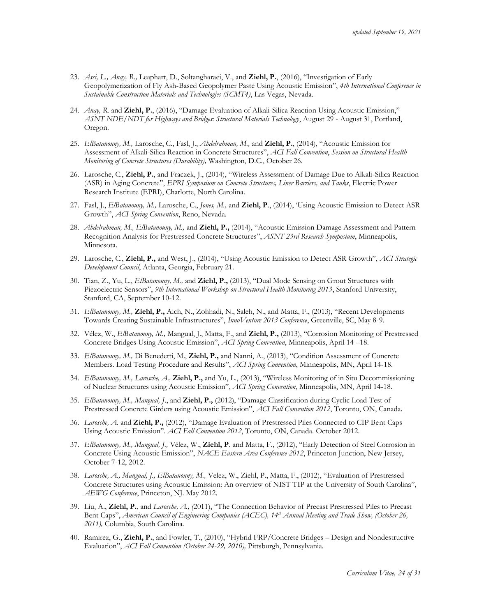- 23. *Assi, L., Anay, R.,* Leaphart, D., Soltangharaei, V., and **Ziehl, P.**, (2016), "Investigation of Early Geopolymerization of Fly Ash-Based Geopolymer Paste Using Acoustic Emission", *4th International Conference in Sustainable Construction Materials and Technologies (SCMT4)*, Las Vegas, Nevada.
- 24. *Anay, R.* and **Ziehl, P.**, (2016), "Damage Evaluation of Alkali-Silica Reaction Using Acoustic Emission," *ASNT NDE/NDT for Highways and Bridges: Structural Materials Technology*, August 29 - August 31, Portland, Oregon.
- 25. *ElBatanouny, M.,* Larosche, C., Fasl, J., *Abdelrahman, M.,* and **Ziehl, P.**, (2014), "Acoustic Emission for Assessment of Alkali-Silica Reaction in Concrete Structures", *ACI Fall Convention*, *Session on Structural Health Monitoring of Concrete Structures (Durability),* Washington, D.C., October 26.
- 26. Larosche, C., **Ziehl, P.**, and Fraczek, J., (2014), "Wireless Assessment of Damage Due to Alkali-Silica Reaction (ASR) in Aging Concrete", *EPRI Symposium on Concrete Structures, Liner Barriers, and Tanks*, Electric Power Research Institute (EPRI), Charlotte, North Carolina.
- 27. Fasl, J., *ElBatanouny, M.,* Larosche, C., *Jones, M.,* and **Ziehl, P**., (2014), 'Using Acoustic Emission to Detect ASR Growth", *ACI Spring Convention*, Reno, Nevada.
- 28. *Abdelrahman, M., ElBatanouny, M.,* and **Ziehl, P.,** (2014), "Acoustic Emission Damage Assessment and Pattern Recognition Analysis for Prestressed Concrete Structures", *ASNT 23rd Research Symposium*, Minneapolis, Minnesota.
- 29. Larosche, C., **Ziehl, P.,** and West, J., (2014), "Using Acoustic Emission to Detect ASR Growth", *ACI Strategic Development Council*, Atlanta, Georgia, February 21.
- 30. Tian, Z., Yu, L., *ElBatanouny, M.,* and **Ziehl, P.,** (2013), "Dual Mode Sensing on Grout Structures with Piezoelectric Sensors", *9th International Workshop on Structural Health Monitoring 2013*, Stanford University, Stanford, CA, September 10-12.
- 31. *ElBatanouny, M.,* **Ziehl, P.,** Aich, N., Zohhadi, N., Saleh, N., and Matta, F., (2013), "Recent Developments Towards Creating Sustainable Infrastructures", *InnoVenture 2013 Conference*, Greenville, SC, May 8-9.
- 32. Vélez, W., *ElBatanouny, M.,* Mangual, J., Matta, F., and **Ziehl, P.,** (2013), "Corrosion Monitoring of Prestressed Concrete Bridges Using Acoustic Emission", *ACI Spring Convention*, Minneapolis, April 14 –18.
- 33. *ElBatanouny, M.,* Di Benedetti, M., **Ziehl, P.,** and Nanni, A., (2013), "Condition Assessment of Concrete Members. Load Testing Procedure and Results", *ACI Spring Convention*, Minneapolis, MN, April 14-18.
- 34. *ElBatanouny, M., Larosche, A.,* **Ziehl, P.,** and Yu, L., (2013), "Wireless Monitoring of in Situ Decommissioning of Nuclear Structures using Acoustic Emission", *ACI Spring Convention*, Minneapolis, MN, April 14-18.
- 35. *ElBatanouny, M., Mangual, J*., and **Ziehl, P.,** (2012), "Damage Classification during Cyclic Load Test of Prestressed Concrete Girders using Acoustic Emission", *ACI Fall Convention 2012*, Toronto, ON, Canada.
- 36. *Larosche, A.* and **Ziehl, P.,** (2012), "Damage Evaluation of Prestressed Piles Connected to CIP Bent Caps Using Acoustic Emission". *ACI Fall Convention 2012*, Toronto, ON, Canada. October 2012.
- 37. *ElBatanouny, M., Mangual, J.,* Vélez, W., **Ziehl, P**. and Matta, F., (2012), "Early Detection of Steel Corrosion in Concrete Using Acoustic Emission", *NACE Eastern Area Conference 2012*, Princeton Junction, New Jersey, October 7-12, 2012.
- 38. *Larosche, A., Mangual, J., ElBatanouny, M.,* Velez, W., Ziehl, P., Matta, F., (2012), "Evaluation of Prestressed Concrete Structures using Acoustic Emission: An overview of NIST TIP at the University of South Carolina", *AEWG Conference*, Princeton, NJ. May 2012.
- 39. Liu, A., **Ziehl, P.**, and *Larosche, A., (*2011), "The Connection Behavior of Precast Prestressed Piles to Precast Bent Caps", *American Council of Engineering Companies (ACEC), 14th Annual Meeting and Trade Show, (October 26, 2011),* Columbia, South Carolina.
- 40. Ramirez, G., **Ziehl, P.**, and Fowler, T., (2010), "Hybrid FRP/Concrete Bridges Design and Nondestructive Evaluation", *ACI Fall Convention (October 24-29, 2010),* Pittsburgh, Pennsylvania*.*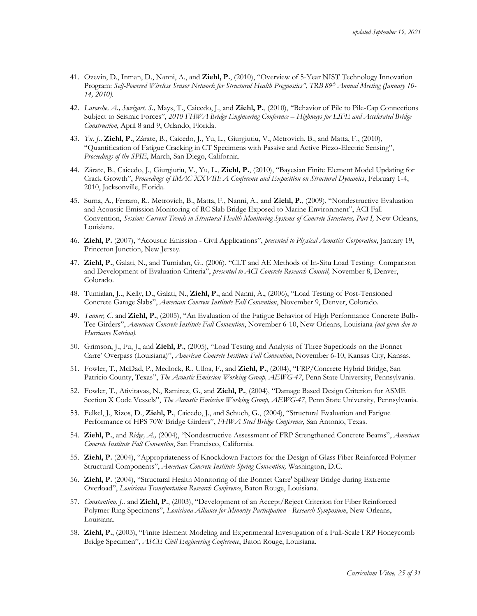- 41. Ozevin, D., Inman, D., Nanni, A., and **Ziehl, P.**, (2010), "Overview of 5-Year NIST Technology Innovation Program: *Self-Powered Wireless Sensor Network for Structural Health Prognostics", TRB 89th Annual Meeting (January 10- 14, 2010).*
- 42. *Larosche, A., Sweigart, S.,* Mays, T., Caicedo, J., and **Ziehl, P.**, (2010), "Behavior of Pile to Pile-Cap Connections Subject to Seismic Forces", *2010 FHWA Bridge Engineering Conference – Highways for LIFE and Accelerated Bridge Construction*, April 8 and 9, Orlando, Florida.
- 43. *Yu, J.,* **Ziehl, P.**, Zárate, B., Caicedo, J., Yu, L., Giurgiutiu, V., Metrovich, B., and Matta, F., (2010), "Quantification of Fatigue Cracking in CT Specimens with Passive and Active Piezo-Electric Sensing", *Proceedings of the SPIE*, March, San Diego, California.
- 44. Zárate, B., Caicedo, J., Giurgiutiu, V., Yu, L., **Ziehl, P.**, (2010), "Bayesian Finite Element Model Updating for Crack Growth", *Proceedings of IMAC XXVIII: A Conference and Exposition on Structural Dynamics*, February 1-4, 2010, Jacksonville, Florida.
- 45. Suma, A., Ferraro, R., Metrovich, B., Matta, F., Nanni, A., and **Ziehl, P.**, (2009), "Nondestructive Evaluation and Acoustic Emission Monitoring of RC Slab Bridge Exposed to Marine Environment", ACI Fall Convention, *Session: Current Trends in Structural Health Monitoring Systems of Concrete Structures, Part I,* New Orleans, Louisiana.
- 46. **Ziehl, P.** (2007), "Acoustic Emission Civil Applications", *presented to Physical Acoustics Corporation*, January 19, Princeton Junction, New Jersey.
- 47. **Ziehl, P.**, Galati, N., and Tumialan, G., (2006), "CLT and AE Methods of In-Situ Load Testing: Comparison and Development of Evaluation Criteria", *presented to ACI Concrete Research Council,* November 8, Denver, Colorado.
- 48. Tumialan, J.., Kelly, D., Galati, N., **Ziehl, P.**, and Nanni, A., (2006), "Load Testing of Post-Tensioned Concrete Garage Slabs", *American Concrete Institute Fall Convention*, November 9, Denver, Colorado.
- 49. *Tanner, C.* and **Ziehl, P.**, (2005), "An Evaluation of the Fatigue Behavior of High Performance Concrete Bulb-Tee Girders", *American Concrete Institute Fall Convention*, November 6-10, New Orleans, Louisiana *(not given due to Hurricane Katrina).*
- 50. Grimson, J., Fu, J., and **Ziehl, P.**, (2005), "Load Testing and Analysis of Three Superloads on the Bonnet Carre' Overpass (Louisiana)", *American Concrete Institute Fall Convention*, November 6-10, Kansas City, Kansas.
- 51. Fowler, T., McDad, P., Medlock, R., Ulloa, F., and **Ziehl, P.**, (2004), "FRP/Concrete Hybrid Bridge, San Patricio County, Texas", *The Acoustic Emission Working Group, AEWG-47*, Penn State University, Pennsylvania.
- 52. Fowler, T., Ativitavas, N., Ramirez, G., and **Ziehl, P.**, (2004), "Damage Based Design Criterion for ASME Section X Code Vessels", *The Acoustic Emission Working Group, AEWG-47*, Penn State University, Pennsylvania.
- 53. Felkel, J., Rizos, D., **Ziehl, P.**, Caicedo, J., and Schuch, G., (2004), "Structural Evaluation and Fatigue Performance of HPS 70W Bridge Girders", *FHWA Steel Bridge Conference*, San Antonio, Texas.
- 54. **Ziehl, P.**, and *Ridge, A.,* (2004), "Nondestructive Assessment of FRP Strengthened Concrete Beams", *American Concrete Institute Fall Convention*, San Francisco, California.
- 55. **Ziehl, P.** (2004), "Appropriateness of Knockdown Factors for the Design of Glass Fiber Reinforced Polymer Structural Components", *American Concrete Institute Spring Convention,* Washington, D.C.
- 56. **Ziehl, P.** (2004), "Structural Health Monitoring of the Bonnet Carre' Spillway Bridge during Extreme Overload", *Louisiana Transportation Research Conference*, Baton Rouge, Louisiana.
- 57. *Constantino, J.,* and **Ziehl, P.**, (2003), "Development of an Accept/Reject Criterion for Fiber Reinforced Polymer Ring Specimens", *Louisiana Alliance for Minority Participation - Research Symposium*, New Orleans, Louisiana.
- 58. **Ziehl, P.**, (2003), "Finite Element Modeling and Experimental Investigation of a Full-Scale FRP Honeycomb Bridge Specimen", *ASCE Civil Engineering Conference*, Baton Rouge, Louisiana.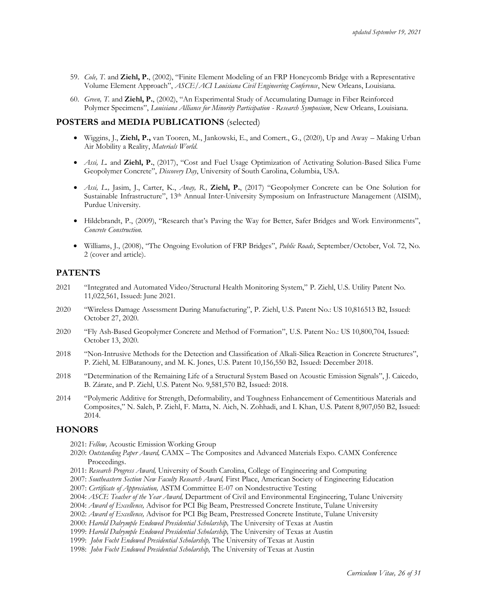- 59. *Cole, T.* and **Ziehl, P.**, (2002), "Finite Element Modeling of an FRP Honeycomb Bridge with a Representative Volume Element Approach", *ASCE/ACI Louisiana Civil Engineering Conference*, New Orleans, Louisiana.
- 60. *Green, T.* and **Ziehl, P.**, (2002), "An Experimental Study of Accumulating Damage in Fiber Reinforced Polymer Specimens", *Louisiana Alliance for Minority Participation - Research Symposium*, New Orleans, Louisiana.

### **POSTERS and MEDIA PUBLICATIONS** (selected)

- Wiggins, J., **Ziehl, P.,** van Tooren, M., Jankowski, E., and Comert., G., (2020), Up and Away Making Urban Air Mobility a Reality, *Materials World*.
- *Assi, L.* and **Ziehl, P.**, (2017), "Cost and Fuel Usage Optimization of Activating Solution-Based Silica Fume Geopolymer Concrete", *Discovery Day*, University of South Carolina, Columbia, USA.
- *Assi, L.,* Jasim, J., Carter, K., *Anay, R.,* **Ziehl, P.**, (2017) "Geopolymer Concrete can be One Solution for Sustainable Infrastructure", 13th Annual Inter-University Symposium on Infrastructure Management (AISIM), Purdue University.
- Hildebrandt, P., (2009), "Research that's Paving the Way for Better, Safer Bridges and Work Environments", *Concrete Construction.*
- Williams, J., (2008), "The Ongoing Evolution of FRP Bridges", *Public Roads*, September/October, Vol. 72, No. 2 (cover and article).

#### **PATENTS**

- 2021 "Integrated and Automated Video/Structural Health Monitoring System," P. Ziehl, U.S. Utility Patent No. 11,022,561, Issued: June 2021.
- 2020 "Wireless Damage Assessment During Manufacturing", P. Ziehl, U.S. Patent No.: US 10,816513 B2, Issued: October 27, 2020.
- 2020 "Fly Ash-Based Geopolymer Concrete and Method of Formation", U.S. Patent No.: US 10,800,704, Issued: October 13, 2020.
- 2018 "Non-Intrusive Methods for the Detection and Classification of Alkali-Silica Reaction in Concrete Structures", P. Ziehl, M. ElBatanouny, and M. K. Jones, U.S. Patent 10,156,550 B2, Issued: December 2018.
- 2018 "Determination of the Remaining Life of a Structural System Based on Acoustic Emission Signals", J. Caicedo, B. Zárate, and P. Ziehl, U.S. Patent No. [9,581,570 B2,](https://patents.google.com/patent/US9581570B2/en?q=Determination&q=Remaining&q=Life&q=Structural&q=System&q=Based&q=Acoustic&q=Emission&q=Signals&oq=Determination+of+the+Remaining+Life+of+a+Structural+System+Based+on+Acoustic+Emission+Signals) Issued: 2018.
- 2014 "Polymeric Additive for Strength, Deformability, and Toughness Enhancement of Cementitious Materials and Composites," N. Saleh, P. Ziehl, F. Matta, N. Aich, N. Zohhadi, and I. Khan, U.S. Patent 8,907,050 B2, Issued: 2014.

### **HONORS**

2021: *Fellow,* Acoustic Emission Working Group

- 2020: *Outstanding Paper Award,* CAMX The Composites and Advanced Materials Expo. CAMX Conference Proceedings.
- 2011: *Research Progress Award,* University of South Carolina, College of Engineering and Computing
- 2007: *Southeastern Section New Faculty Research Award,* First Place, American Society of Engineering Education
- 2007: *Certificate of Appreciation,* ASTM Committee E-07 on Nondestructive Testing
- 2004: *ASCE Teacher of the Year Award,* Department of Civil and Environmental Engineering, Tulane University
- 2004: *Award of Excellence,* Advisor for PCI Big Beam, Prestressed Concrete Institute, Tulane University
- 2002: *Award of Excellence,* Advisor for PCI Big Beam, Prestressed Concrete Institute, Tulane University
- 2000: *Harold Dalrymple Endowed Presidential Scholarship,* The University of Texas at Austin
- 1999: *Harold Dalrymple Endowed Presidential Scholarship,* The University of Texas at Austin
- 1999: *John Focht Endowed Presidential Scholarship,* The University of Texas at Austin
- 1998: *John Focht Endowed Presidential Scholarship,* The University of Texas at Austin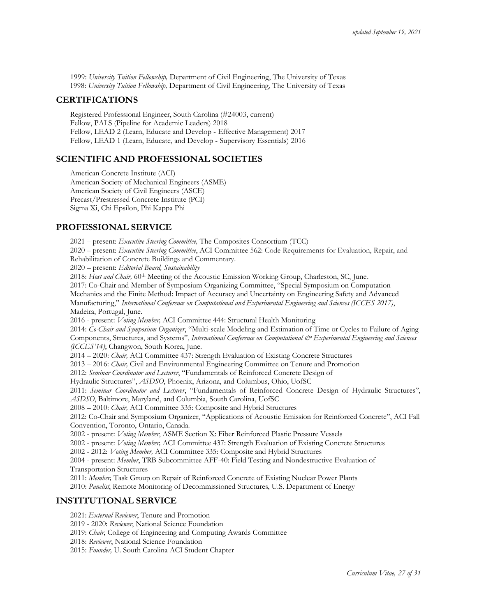1999: *University Tuition Fellowship,* Department of Civil Engineering, The University of Texas 1998: *University Tuition Fellowship,* Department of Civil Engineering, The University of Texas

### **CERTIFICATIONS**

Registered Professional Engineer, South Carolina (#24003, current) Fellow, PALS (Pipeline for Academic Leaders) 2018 Fellow, LEAD 2 (Learn, Educate and Develop - Effective Management) 2017 Fellow, LEAD 1 (Learn, Educate, and Develop - Supervisory Essentials) 2016

## **SCIENTIFIC AND PROFESSIONAL SOCIETIES**

American Concrete Institute (ACI) American Society of Mechanical Engineers (ASME) American Society of Civil Engineers (ASCE) Precast/Prestressed Concrete Institute (PCI) Sigma Xi, Chi Epsilon, Phi Kappa Phi

## **PROFESSIONAL SERVICE**

2021 – present: *Executive Steering Committee,* The Composites Consortium (TCC)

2020 – present: *Executive Steering Committee*, ACI Committee 562: Code Requirements for Evaluation, Repair, and Rehabilitation of Concrete Buildings and Commentary.

2020 – present: *Editorial Board, Sustainability*

2018: *Host and Chair,* 60th Meeting of the Acoustic Emission Working Group, Charleston, SC, June.

2017: Co-Chair and Member of Symposium Organizing Committee, "Special Symposium on Computation Mechanics and the Finite Method: Impact of Accuracy and Uncertainty on Engineering Safety and Advanced Manufacturing," *International Conference on Computational and Experimental Engineering and Sciences (ICCES 2017)*, Madeira, Portugal, June.

2016 - present: *Voting Member,* ACI Committee 444: Structural Health Monitoring

2014: *Co-Chair and Symposium Organizer*, "Multi-scale Modeling and Estimation of Time or Cycles to Failure of Aging Components, Structures, and Systems", International Conference on Computational & Experimental Engineering and Sciences *(ICCES'14)*; Changwon, South Korea, June.

2014 – 2020: *Chair,* ACI Committee 437: Strength Evaluation of Existing Concrete Structures

2013 – 2016: *Chair,* Civil and Environmental Engineering Committee on Tenure and Promotion

2012: *Seminar Coordinator and Lecturer*, "Fundamentals of Reinforced Concrete Design of

Hydraulic Structures", *ASDSO*, Phoenix, Arizona, and Columbus, Ohio, UofSC

2011: *Seminar Coordinator and Lecturer*, "Fundamentals of Reinforced Concrete Design of Hydraulic Structures", *ASDSO*, Baltimore, Maryland, and Columbia, South Carolina, UofSC

2008 – 2010: *Chair,* ACI Committee 335: Composite and Hybrid Structures

2012: Co-Chair and Symposium Organizer, "Applications of Acoustic Emission for Reinforced Concrete", ACI Fall Convention, Toronto, Ontario, Canada.

2002 - present: *Voting Member*, ASME Section X: Fiber Reinforced Plastic Pressure Vessels

2002 - present: *Voting Member,* ACI Committee 437: Strength Evaluation of Existing Concrete Structures

2002 - 2012: *Voting Member,* ACI Committee 335: Composite and Hybrid Structures

2004 - present: *Member*, TRB Subcommittee AFF-40: Field Testing and Nondestructive Evaluation of Transportation Structures

2011: *Member,* Task Group on Repair of Reinforced Concrete of Existing Nuclear Power Plants

2010: *Panelist*, Remote Monitoring of Decommissioned Structures, U.S. Department of Energy

## **INSTITUTIONAL SERVICE**

2021: *External Reviewer*, Tenure and Promotion

2019 - 2020: *Reviewer*, National Science Foundation

2019: *Chair*, College of Engineering and Computing Awards Committee

2018: *Reviewer*, National Science Foundation

2015: *Founder,* U. South Carolina ACI Student Chapter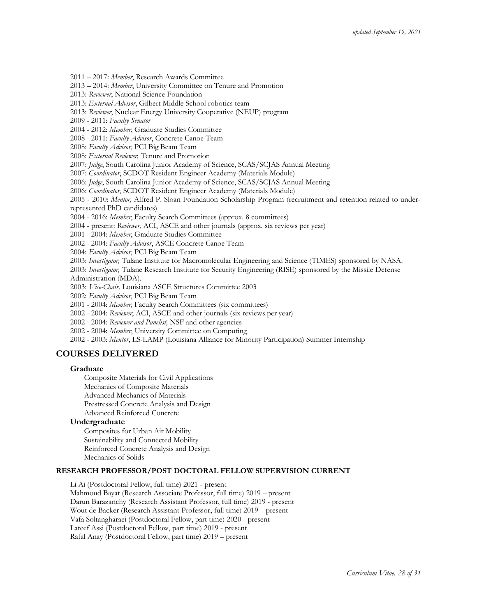2011 – 2017: *Member*, Research Awards Committee

2013 – 2014: *Member*, University Committee on Tenure and Promotion

2013: *Reviewer*, National Science Foundation

2013: *External Advisor*, Gilbert Middle School robotics team

2013: *Reviewer*, Nuclear Energy University Cooperative (NEUP) program

2009 - 2011: *Faculty Senator*

2004 - 2012: *Member*, Graduate Studies Committee

2008 - 2011: *Faculty Advisor*, Concrete Canoe Team

2008: *Faculty Advisor*, PCI Big Beam Team

2008: *External Reviewer,* Tenure and Promotion

2007: *Judge*, South Carolina Junior Academy of Science, SCAS/SCJAS Annual Meeting

2007: *Coordinator*, SCDOT Resident Engineer Academy (Materials Module)

2006: *Judge*, South Carolina Junior Academy of Science, SCAS/SCJAS Annual Meeting

2006: *Coordinator*, SCDOT Resident Engineer Academy (Materials Module)

2005 - 2010: *Mentor,* Alfred P. Sloan Foundation Scholarship Program (recruitment and retention related to underrepresented PhD candidates)

2004 - 2016: *Member*, Faculty Search Committees (approx. 8 committees)

2004 - present: *Reviewer*, ACI, ASCE and other journals (approx. six reviews per year)

2001 - 2004: *Member*, Graduate Studies Committee

2002 - 2004: *Faculty Advisor*, ASCE Concrete Canoe Team

2004: *Faculty Advisor*, PCI Big Beam Team

2003: *Investigator,* Tulane Institute for Macromolecular Engineering and Science (TIMES) sponsored by NASA. 2003: *Investigator,* Tulane Research Institute for Security Engineering (RISE) sponsored by the Missile Defense Administration (MDA).

2003: *Vice-Chair,* Louisiana ASCE Structures Committee 2003

2002: *Faculty Advisor*, PCI Big Beam Team

2001 - 2004: *Member,* Faculty Search Committees (six committees)

2002 - 2004: *Reviewer*, ACI, ASCE and other journals (six reviews per year)

2002 - 2004: *Reviewer and Panelist,* NSF and other agencies

2002 - 2004: *Member*, University Committee on Computing

2002 - 2003: *Mentor*, LS-LAMP (Louisiana Alliance for Minority Participation) Summer Internship

## **COURSES DELIVERED**

#### **Graduate**

Composite Materials for Civil Applications Mechanics of Composite Materials Advanced Mechanics of Materials Prestressed Concrete Analysis and Design Advanced Reinforced Concrete

#### **Undergraduate**

Composites for Urban Air Mobility Sustainability and Connected Mobility Reinforced Concrete Analysis and Design Mechanics of Solids

#### **RESEARCH PROFESSOR/POST DOCTORAL FELLOW SUPERVISION CURRENT**

Li Ai (Postdoctoral Fellow, full time) 2021 - present Mahmoud Bayat (Research Associate Professor, full time) 2019 – present Darun Barazanchy (Research Assistant Professor, full time) 2019 - present Wout de Backer (Research Assistant Professor, full time) 2019 – present Vafa Soltangharaei (Postdoctoral Fellow, part time) 2020 - present Lateef Assi (Postdoctoral Fellow, part time) 2019 - present Rafal Anay (Postdoctoral Fellow, part time) 2019 – present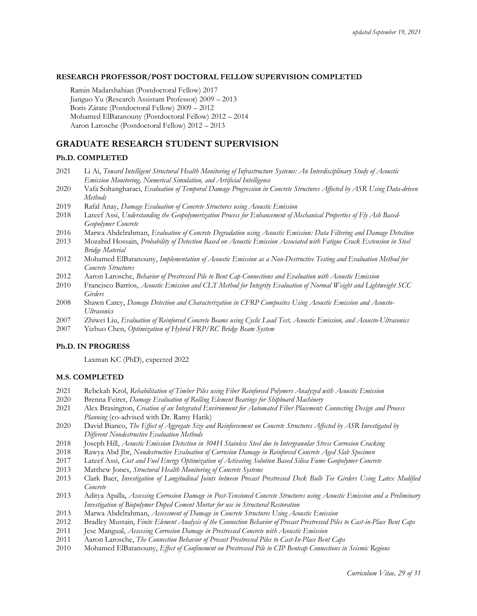### **RESEARCH PROFESSOR/POST DOCTORAL FELLOW SUPERVISION COMPLETED**

Ramin Madarshahian (Postdoctoral Fellow) 2017 Jianguo Yu (Research Assistant Professor) 2009 – 2013 Boris Zárate (Postdoctoral Fellow) 2009 – 2012 Mohamed ElBatanouny (Postdoctoral Fellow) 2012 – 2014 Aaron Larosche (Postdoctoral Fellow) 2012 – 2013

### **GRADUATE RESEARCH STUDENT SUPERVISION**

#### **Ph.D. COMPLETED**

- 2021 Li Ai, *Toward Intelligent Structural Health Monitoring of Infrastructure Systems: An Interdisciplinary Study of Acoustic Emission Monitoring, Numerical Simulation, and Artificial Intelligence*
- 2020 Vafa Soltangharaei, *Evaluation of Temporal Damage Progression in Concrete Structures Affected by ASR Using Data-driven Methods*
- 2019 Rafal Anay, *Damage Evaluation of Concrete Structures using Acoustic Emission*
- 2018 Lateef Assi, *Understanding the [Geopolymerization](http://scholarcommons.sc.edu/etd/4981) Process for Enhancement of Mechanical Properties of Fly Ash Based-[Geopolymer](http://scholarcommons.sc.edu/etd/4981) Concrete*
- 2016 Marwa Abdelrahman, *Evaluation of Concrete Degradation using Acoustic Emission: Data Filtering and Damage Detection*
- 2013 Mozahid Hossain, *Probability of Detection Based on Acoustic Emission Associated with Fatigue Crack Extension in Steel Bridge Material*
- 2012 Mohamed ElBatanouny, *Implementation of Acoustic Emission as a Non-Destructive Testing and Evaluation Method for Concrete Structures*
- 2012 Aaron Larosche, *Behavior of Prestressed Pile to Bent Cap Connections and Evaluation with Acoustic Emission*
- 2010 Francisco Barrios, *Acoustic Emission and CLT Method for Integrity Evaluation of Normal Weight and Lightweight SCC Girders*
- 2008 Shawn Carey, *Damage Detection and Characterization in CFRP Composites Using Acoustic Emission and Acousto-Ultrasonics*
- 2007 Zhiwei Liu, *Evaluation of Reinforced Concrete Beams using Cyclic Load Test, Acoustic Emission, and Acousto-Ultrasonics*
- 2007 Yizhuo Chen, *Optimization of Hybrid FRP/RC Bridge Beam System*

#### **Ph.D. IN PROGRESS**

Laxman KC (PhD), expected 2022

#### **M.S. COMPLETED**

- 2021 Rebekah Krol, *Rehabilitation of Timber Piles using Fiber Reinforced Polymers Analyzed with Acoustic Emission*
- 2020 Brenna Feirer, *Damage Evaluation of Rolling Element Bearings for Shipboard Machinery*
- 2021 Alex Brasington, *Creation of an Integrated Environment for Automated Fiber Placement: Connecting Design and Process Planning* (co-advised with Dr. Ramy Harik)
- 2020 David Bianco, *The Effect of Aggregate Size and Reinforcement on Concrete Structures Affected by ASR Investigated by Different Nondestructive Evaluation Methods*
- 2018 Joseph Hill, *Acoustic Emission Detection in 304H Stainless Steel due to Intergranular Stress Corrosion Cracking*
- 2018 Rawya Abd Jbr, *Nondestructive Evaluation of Corrosion Damage in Reinforced Concrete Aged Slab Specimen*
- 2017 Lateef Assi, *Cost and Fuel Energy Optimization of Activating Solution Based Silica Fume Geopolymer Concrete*
- 2013 Matthew Jones, *Structural Health Monitoring of Concrete Systems*
- 2013 Clark Baer, *Investigation of Longitudinal Joints between Precast Prestressed Deck Bulb Tee Girders Using Latex Modified Concrete*
- 2013 Aditya Apalla, *Assessing Corrosion Damage in Post-Tensioned Concrete Structures using Acoustic Emission and a Preliminary Investigation of Biopolymer Doped Cement Mortar for use in Structural Restoration*
- 2013 Marwa Abdelrahman, *Assessment of Damage in Concrete Structures Using Acoustic Emission*
- 2012 Bradley Mustain, *Finite Element Analysis of the Connection Behavior of Precast Prestressed Piles to Cast-in-Place Bent Caps*
- 2011 Jese Mangual, *Assessing Corrosion Damage in Prestressed Concrete with Acoustic Emission*
- 2011 Aaron Larosche, *The Connection Behavior of Precast Prestressed Piles to Cast-In-Place Bent Caps*
- 2010 Mohamed ElBatanouny, *Effect of Confinement on Prestressed Pile to CIP Bentcap Connections in Seismic Regions*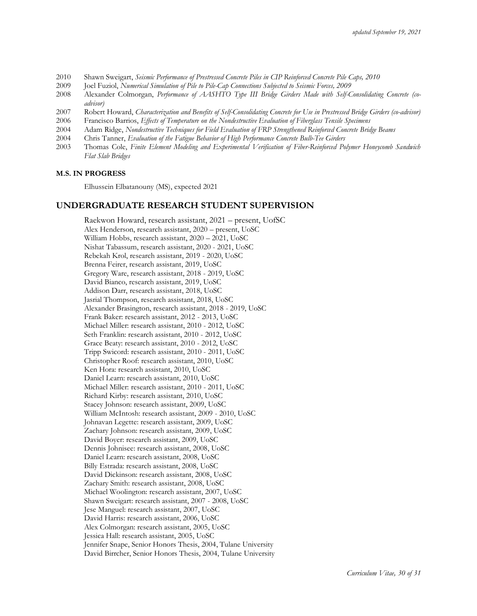- 2010 Shawn Sweigart, *Seismic Performance of Prestressed Concrete Piles in CIP Reinforced Concrete Pile Caps, 2010*
- 2009 Joel Fuziol, *Numerical Simulation of Pile to Pile-Cap Connections Subjected to Seismic Forces, 2009*
- 2008 Alexander Colmorgan, *Performance of AASHTO Type III Bridge Girders Made with Self-Consolidating Concrete (coadvisor)*
- 2007 Robert Howard, *Characterization and Benefits of Self-Consolidating Concrete for Use in Prestressed Bridge Girders (co-advisor)*
- 2006 Francisco Barrios, *Effects of Temperature on the Nondestructive Evaluation of Fiberglass Tensile Specimens*
- 2004 Adam Ridge, *Nondestructive Techniques for Field Evaluation of FRP Strengthened Reinforced Concrete Bridge Beams*
- 2004 Chris Tanner, *Evaluation of the Fatigue Behavior of High Performance Concrete Bulb-Tee Girders*
- 2003 Thomas Cole, *Finite Element Modeling and Experimental Verification of Fiber-Reinforced Polymer Honeycomb Sandwich Flat Slab Bridges*

#### **M.S. IN PROGRESS**

Elhussein Elbatanouny (MS), expected 2021

### **UNDERGRADUATE RESEARCH STUDENT SUPERVISION**

Raekwon Howard, research assistant, 2021 – present, UofSC Alex Henderson, research assistant, 2020 – present, UoSC William Hobbs, research assistant, 2020 – 2021, UoSC Nishat Tabassum, research assistant, 2020 - 2021, UoSC Rebekah Krol, research assistant, 2019 - 2020, UoSC Brenna Feirer, research assistant, 2019, UoSC Gregory Ware, research assistant, 2018 - 2019, UoSC David Bianco, research assistant, 2019, UoSC Addison Darr, research assistant, 2018, UoSC Jasrial Thompson, research assistant, 2018, UoSC Alexander Brasington, research assistant, 2018 - 2019, UoSC Frank Baker: research assistant, 2012 - 2013, UoSC Michael Miller: research assistant, 2010 - 2012, UoSC Seth Franklin: research assistant, 2010 - 2012, UoSC Grace Beaty: research assistant, 2010 - 2012, UoSC Tripp Swicord: research assistant, 2010 - 2011, UoSC Christopher Roof: research assistant, 2010, UoSC Ken Hora: research assistant, 2010, UoSC Daniel Learn: research assistant, 2010, UoSC Michael Miller: research assistant, 2010 - 2011, UoSC Richard Kirby: research assistant, 2010, UoSC Stacey Johnson: research assistant, 2009, UoSC William McIntosh: research assistant, 2009 - 2010, UoSC Johnavan Legette: research assistant, 2009, UoSC Zachary Johnson: research assistant, 2009, UoSC David Boyer: research assistant, 2009, UoSC Dennis Johnisee: research assistant, 2008, UoSC Daniel Learn: research assistant, 2008, UoSC Billy Estrada: research assistant, 2008, UoSC David Dickinson: research assistant, 2008, UoSC Zachary Smith: research assistant, 2008, UoSC Michael Woolington: research assistant, 2007, UoSC Shawn Sweigart: research assistant, 2007 - 2008, UoSC Jese Manguel: research assistant, 2007, UoSC David Harris: research assistant, 2006, UoSC Alex Colmorgan: research assistant, 2005, UoSC Jessica Hall: research assistant, 2005, UoSC Jennifer Snape, Senior Honors Thesis, 2004, Tulane University David Birrcher, Senior Honors Thesis, 2004, Tulane University